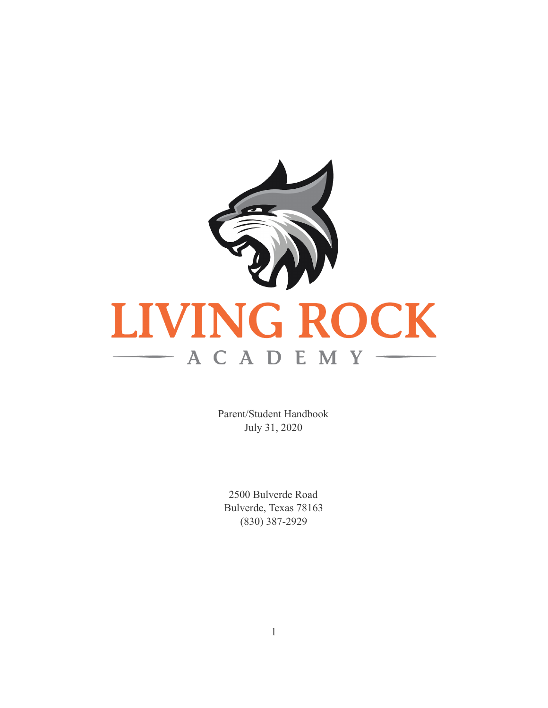

Parent/Student Handbook July 31, 2020

2500 Bulverde Road Bulverde, Texas 78163  $(830)$  387-2929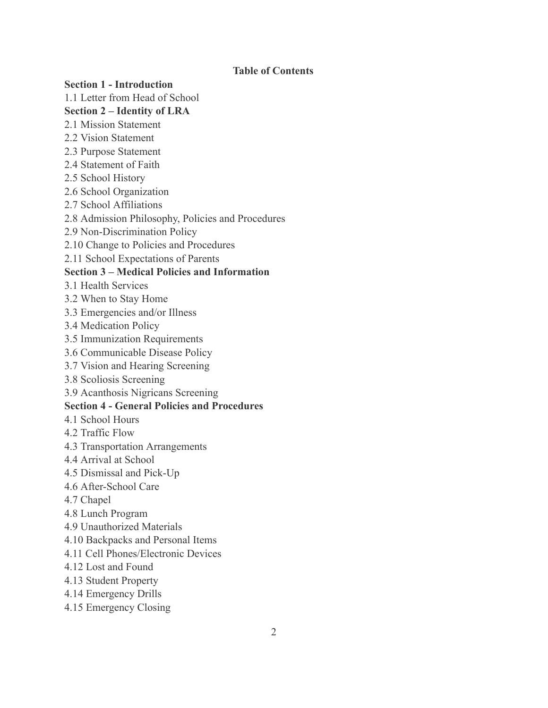### **Table of Contents**

#### **Section 1 - Introduction**

1.1 Letter from Head of School

### **Section 2 – Identity of LRA**

- 2.1 Mission Statement
- 2.2 Vision Statement
- 2.3 Purpose Statement
- 2.4 Statement of Faith
- 2.5 School History
- 2.6 School Organization
- 2.7 School Affiliations
- 2.8 Admission Philosophy, Policies and Procedures
- 2.9 Non-Discrimination Policy
- 2.10 Change to Policies and Procedures
- 2.11 School Expectations of Parents

#### **Section 3 – Medical Policies and Information**

- 3.1 Health Services
- 3.2 When to Stay Home
- 3.3 Emergencies and/or Illness
- 3.4 Medication Policy
- 3.5 Immunization Requirements
- 3.6 Communicable Disease Policy
- 3.7 Vision and Hearing Screening
- 3.8 Scoliosis Screening
- 3.9 Acanthosis Nigricans Screening

#### **Section 4 - General Policies and Procedures**

- 4 1 School Hours
- 4.2 Traffic Flow
- 4.3 Transportation Arrangements
- 4.4 Arrival at School
- 4.5 Dismissal and Pick-Up
- 4.6 After-School Care
- 4.7 Chapel
- 4.8 Lunch Program
- 4.9 Unauthorized Materials
- 4.10 Backpacks and Personal Items
- 4.11 Cell Phones/Electronic Devices
- 4.12 Lost and Found
- 4.13 Student Property
- 4.14 Emergency Drills
- 4.15 Emergency Closing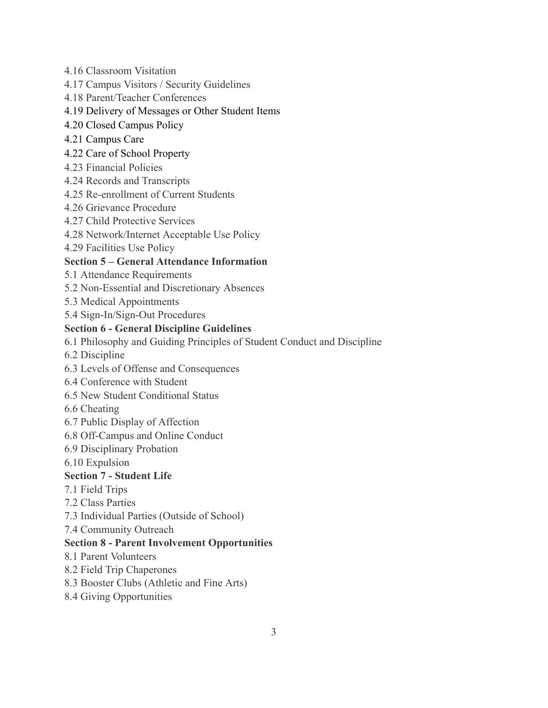- 4.16 Classroom Visitation
- 4.17 Campus Visitors / Security Guidelines
- 4.18 Parent/Teacher Conferences

# 4.19 Delivery of Messages or Other Student Items

- 4.20 Closed Campus Policy
- 4.21 Campus Care

# 4.22 Care of School Property

- 4.23 Financial Policies
- 4.24 Records and Transcripts
- 4.25 Re-enrollment of Current Students
- 4.26 Grievance Procedure
- 4.27 Child Protective Services
- 4.28 Network/Internet Acceptable Use Policy
- 4.29 Facilities Use Policy

# **Section 5 – General Attendance Information**

- 5.1 Attendance Requirements
- 5.2 Non-Essential and Discretionary Absences
- 5.3 Medical Appointments
- 5.4 Sign-In/Sign-Out Procedures

# **Section 6 - General Discipline Guidelines**

- 6.1 Philosophy and Guiding Principles of Student Conduct and Discipline
- 6.2 Discipline
- 6.3 Levels of Offense and Consequences
- 6.4 Conference with Student
- 6.5 New Student Conditional Status
- 6.6 Cheating
- 6.7 Public Display of Affection
- 6.8 Off-Campus and Online Conduct
- 6.9 Disciplinary Probation
- 6.10 Expulsion

# **Section 7 - Student Life**

- 7.1 Field Trips
- 7.2 Class Parties
- 7.3 Individual Parties (Outside of School)
- 7.4 Community Outreach

# **Section 8 - Parent Involvement Opportunities**

- 8.1 Parent Volunteers
- 8.2 Field Trip Chaperones
- 8.3 Booster Clubs (Athletic and Fine Arts)
- 8.4 Giving Opportunities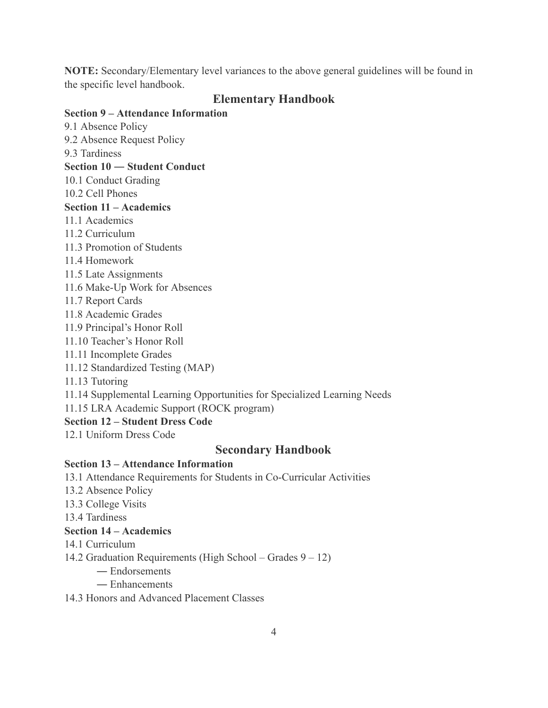NOTE: Secondary/Elementary level variances to the above general guidelines will be found in the specific level handbook.

# **Elementary Handbook**

## **Section 9 – Attendance Information**

9.1 Absence Policy 9.2 Absence Request Policy 9.3 Tardiness Section 10 - Student Conduct 10.1 Conduct Grading 10.2 Cell Phones Section  $11 -$ Academics 11.1 Academics 11.2 Curriculum 11.3 Promotion of Students 11.4 Homework 11.5 Late Assignments 11.6 Make-Up Work for Absences 11.7 Report Cards 11.8 Academic Grades 11.9 Principal's Honor Roll 11.10 Teacher's Honor Roll 11.11 Incomplete Grades 11.12 Standardized Testing (MAP) 11.13 Tutoring 11.14 Supplemental Learning Opportunities for Specialized Learning Needs 11.15 LRA Academic Support (ROCK program)

## **Section 12 - Student Dress Code**

12.1 Uniform Dress Code

# **Secondary Handbook**

# **Section 13 – Attendance Information**

- 13.1 Attendance Requirements for Students in Co-Curricular Activities
- 13.2 Absence Policy
- 13.3 College Visits

13.4 Tardiness

# **Section 14 – Academics**

- 14.1 Curriculum
- 14.2 Graduation Requirements (High School Grades  $9 12$ )
	- Endorsements
	- Enhancements
- 14.3 Honors and Advanced Placement Classes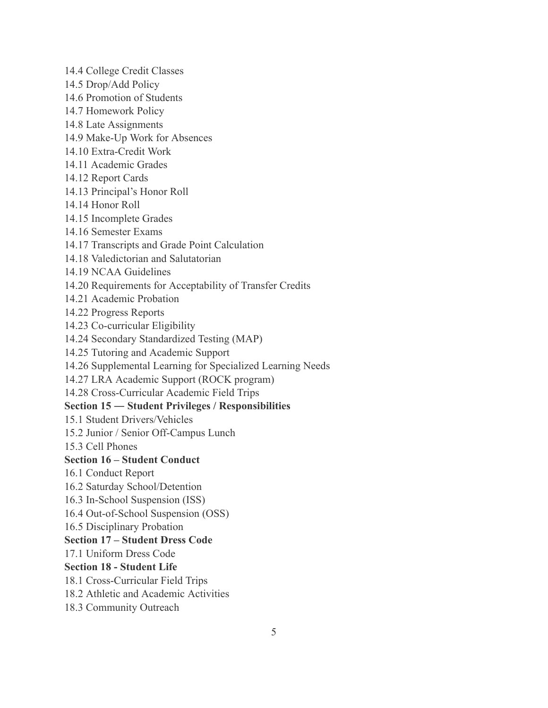14.4 College Credit Classes

- 14.5 Drop/Add Policy
- 14.6 Promotion of Students
- 14.7 Homework Policy
- 14.8 Late Assignments
- 14.9 Make-Up Work for Absences
- 14.10 Extra-Credit Work
- 14.11 Academic Grades
- 14.12 Report Cards
- 14.13 Principal's Honor Roll
- 14.14 Honor Roll
- 14.15 Incomplete Grades
- 14.16 Semester Exams
- 14.17 Transcripts and Grade Point Calculation
- 14.18 Valedictorian and Salutatorian
- 14.19 NCAA Guidelines
- 14.20 Requirements for Acceptability of Transfer Credits
- 14.21 Academic Probation
- 14.22 Progress Reports
- 14.23 Co-curricular Eligibility
- 14.24 Secondary Standardized Testing (MAP)
- 14.25 Tutoring and Academic Support
- 14.26 Supplemental Learning for Specialized Learning Needs
- 14.27 LRA Academic Support (ROCK program)
- 14.28 Cross-Curricular Academic Field Trips

### Section 15 – Student Privileges / Responsibilities

- 15.1 Student Drivers/Vehicles
- 15.2 Junior / Senior Off-Campus Lunch
- 15.3 Cell Phones

#### **Section 16 – Student Conduct**

- 16.1 Conduct Report
- 16.2 Saturday School/Detention
- 16.3 In-School Suspension (ISS)
- 16.4 Out-of-School Suspension (OSS)
- 16.5 Disciplinary Probation

#### **Section 17 – Student Dress Code**

17.1 Uniform Dress Code

#### **Section 18 - Student Life**

- 18.1 Cross-Curricular Field Trips
- 18.2 Athletic and Academic Activities
- 18.3 Community Outreach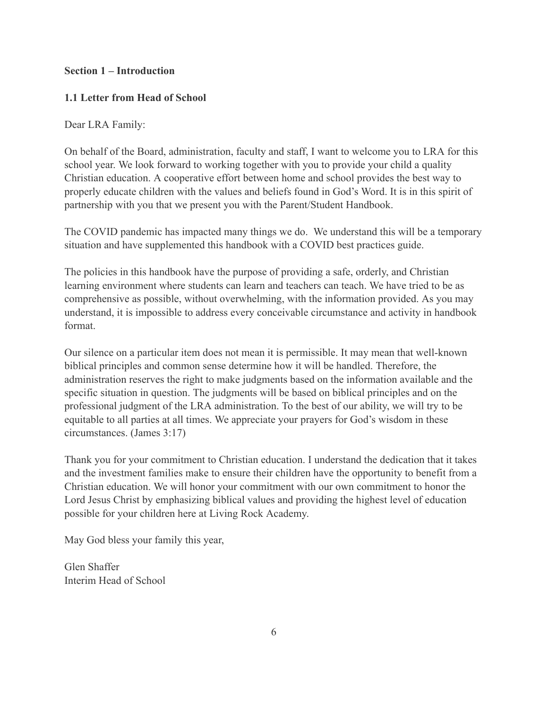### **Section 1 – Introduction**

### 1.1 Letter from Head of School

Dear LRA Family:

On behalf of the Board, administration, faculty and staff, I want to welcome you to LRA for this school year. We look forward to working together with you to provide your child a quality Christian education. A cooperative effort between home and school provides the best way to properly educate children with the values and beliefs found in God's Word. It is in this spirit of partnership with you that we present you with the Parent/Student Handbook.

The COVID pandemic has impacted many things we do. We understand this will be a temporary situation and have supplemented this handbook with a COVID best practices guide.

The policies in this handbook have the purpose of providing a safe, orderly, and Christian learning environment where students can learn and teachers can teach. We have tried to be as comprehensive as possible, without overwhelming, with the information provided. As you may understand, it is impossible to address every conceivable circumstance and activity in handbook format.

Our silence on a particular item does not mean it is permissible. It may mean that well-known biblical principles and common sense determine how it will be handled. Therefore, the administration reserves the right to make judgments based on the information available and the specific situation in question. The judgments will be based on biblical principles and on the professional judgment of the LRA administration. To the best of our ability, we will try to be equitable to all parties at all times. We appreciate your prayers for God's wisdom in these circumstances. (James 3:17)

Thank you for your commitment to Christian education. I understand the dedication that it takes and the investment families make to ensure their children have the opportunity to benefit from a Christian education. We will honor your commitment with our own commitment to honor the Lord Jesus Christ by emphasizing biblical values and providing the highest level of education possible for your children here at Living Rock Academy.

May God bless your family this year,

Glen Shaffer Interim Head of School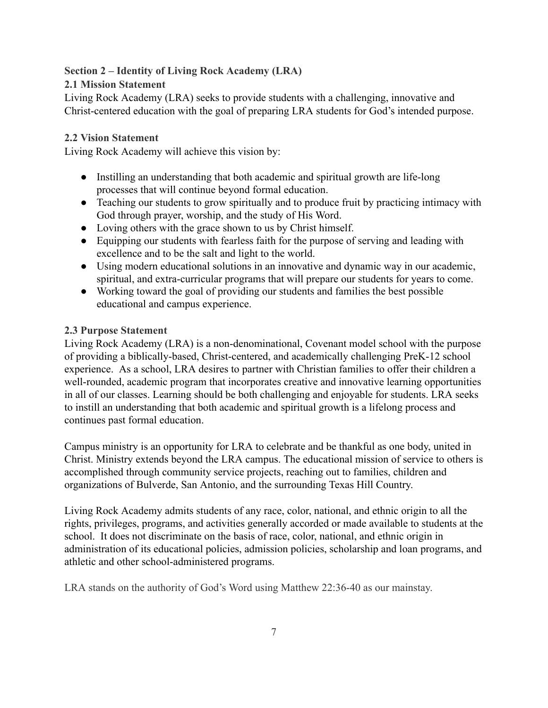## **Section 2 – Identity of Living Rock Academy (LRA)**

### **2.1 Mission Statement**

Living Rock Academy (LRA) seeks to provide students with a challenging, innovative and Christ-centered education with the goal of preparing LRA students for God's intended purpose.

### **2.2 Vision Statement**

Living Rock Academy will achieve this vision by:

- Instilling an understanding that both academic and spiritual growth are life-long processes that will continue beyond formal education.
- Teaching our students to grow spiritually and to produce fruit by practicing intimacy with God through prayer, worship, and the study of His Word.
- Loving others with the grace shown to us by Christ himself.
- Equipping our students with fearless faith for the purpose of serving and leading with excellence and to be the salt and light to the world.
- Using modern educational solutions in an innovative and dynamic way in our academic, spiritual, and extra-curricular programs that will prepare our students for years to come.
- Working toward the goal of providing our students and families the best possible educational and campus experience.

### **2.3 Purpose Statement**

Living Rock Academy (LRA) is a non-denominational, Covenant model school with the purpose of providing a biblically-based, Christ-centered, and academically challenging PreK-12 school experience. As a school, LRA desires to partner with Christian families to offer their children a well-rounded, academic program that incorporates creative and innovative learning opportunities in all of our classes. Learning should be both challenging and enjoyable for students. LRA seeks to instill an understanding that both academic and spiritual growth is a lifelong process and continues past formal education.

Campus ministry is an opportunity for LRA to celebrate and be thankful as one body, united in Christ. Ministry extends beyond the LRA campus. The educational mission of service to others is accomplished through community service projects, reaching out to families, children and organizations of Bulverde, San Antonio, and the surrounding Texas Hill Country.

Living Rock Academy admits students of any race, color, national, and ethnic origin to all the rights, privileges, programs, and activities generally accorded or made available to students at the school. It does not discriminate on the basis of race, color, national, and ethnic origin in administration of its educational policies, admission policies, scholarship and loan programs, and athletic and other school-administered programs.

LRA stands on the authority of God's Word using Matthew 22:36-40 as our mainstay.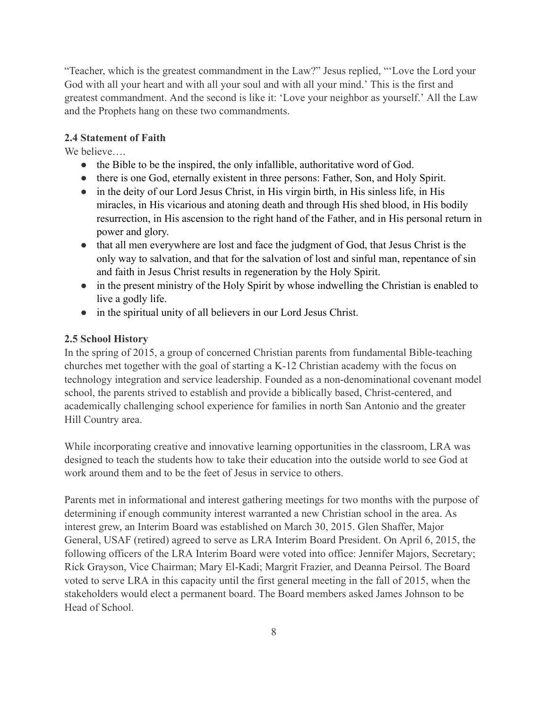"Teacher, which is the greatest commandment in the Law?" Jesus replied, "'Love the Lord your God with all your heart and with all your soul and with all your mind.' This is the first and greatest commandment. And the second is like it: 'Love your neighbor as yourself.' All the Law and the Prophets hang on these two commandments.

### **2.4 Statement of Faith**

We believe

- the Bible to be the inspired, the only infallible, authoritative word of God.
- there is one God, eternally existent in three persons: Father, Son, and Holy Spirit.
- in the deity of our Lord Jesus Christ, in His virgin birth, in His sinless life, in His miracles, in His vicarious and atoning death and through His shed blood, in His bodily resurrection, in His ascension to the right hand of the Father, and in His personal return in power and glory.
- that all men everywhere are lost and face the judgment of God, that Jesus Christ is the only way to salvation, and that for the salvation of lost and sinful man, repentance of sin and faith in Jesus Christ results in regeneration by the Holy Spirit.
- in the present ministry of the Holy Spirit by whose indwelling the Christian is enabled to live a godly life.
- in the spiritual unity of all believers in our Lord Jesus Christ.

#### 2.5 School History

In the spring of 2015, a group of concerned Christian parents from fundamental Bible-teaching churches met together with the goal of starting a K-12 Christian academy with the focus on technology integration and service leadership. Founded as a non-denominational covenant model school, the parents strived to establish and provide a biblically based, Christ-centered, and academically challenging school experience for families in north San Antonio and the greater Hill Country area.

While incorporating creative and innovative learning opportunities in the classroom, LRA was designed to teach the students how to take their education into the outside world to see God at work around them and to be the feet of Jesus in service to others.

Parents met in informational and interest gathering meetings for two months with the purpose of determining if enough community interest warranted a new Christian school in the area. As interest grew, an Interim Board was established on March 30, 2015. Glen Shaffer, Major General, USAF (retired) agreed to serve as LRA Interim Board President. On April 6, 2015, the following officers of the LRA Interim Board were voted into office: Jennifer Majors, Secretary; Rick Grayson, Vice Chairman; Mary El-Kadi; Margrit Frazier, and Deanna Peirsol. The Board voted to serve LRA in this capacity until the first general meeting in the fall of 2015, when the stakeholders would elect a permanent board. The Board members asked James Johnson to be Head of School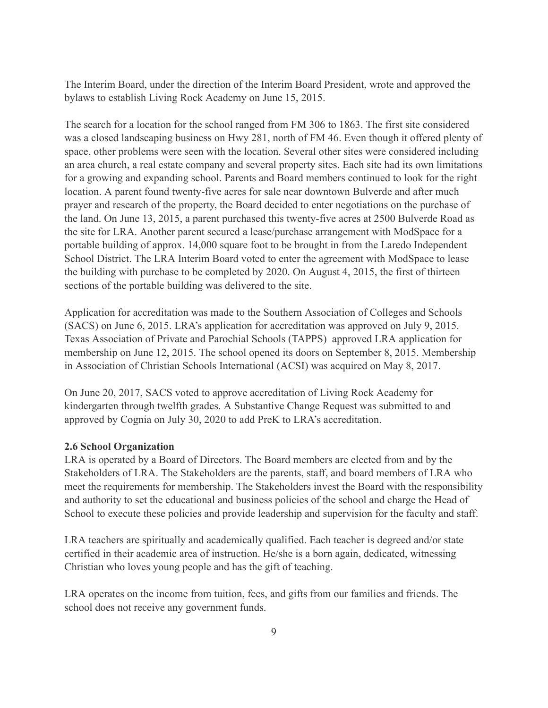The Interim Board, under the direction of the Interim Board President, wrote and approved the bylaws to establish Living Rock Academy on June 15, 2015.

The search for a location for the school ranged from FM 306 to 1863. The first site considered was a closed landscaping business on Hwy 281, north of FM 46. Even though it offered plenty of space, other problems were seen with the location. Several other sites were considered including an area church, a real estate company and several property sites. Each site had its own limitations for a growing and expanding school. Parents and Board members continued to look for the right location. A parent found twenty-five acres for sale near downtown Bulverde and after much prayer and research of the property, the Board decided to enter negotiations on the purchase of the land. On June 13, 2015, a parent purchased this twenty-five acres at 2500 Bulverde Road as the site for LRA. Another parent secured a lease/purchase arrangement with ModSpace for a portable building of approx. 14,000 square foot to be brought in from the Laredo Independent School District. The LRA Interim Board voted to enter the agreement with ModSpace to lease the building with purchase to be completed by 2020. On August 4, 2015, the first of thirteen sections of the portable building was delivered to the site.

Application for accreditation was made to the Southern Association of Colleges and Schools (SACS) on June 6, 2015. LRA's application for accreditation was approved on July 9, 2015. Texas Association of Private and Parochial Schools (TAPPS) approved LRA application for membership on June 12, 2015. The school opened its doors on September 8, 2015. Membership in Association of Christian Schools International (ACSI) was acquired on May 8, 2017.

On June 20, 2017, SACS voted to approve accreditation of Living Rock Academy for kindergarten through twelfth grades. A Substantive Change Request was submitted to and approved by Cognia on July 30, 2020 to add PreK to LRA's accreditation.

### **2.6 School Organization**

LRA is operated by a Board of Directors. The Board members are elected from and by the Stakeholders of LRA. The Stakeholders are the parents, staff, and board members of LRA who meet the requirements for membership. The Stakeholders invest the Board with the responsibility and authority to set the educational and business policies of the school and charge the Head of School to execute these policies and provide leadership and supervision for the faculty and staff.

LRA teachers are spiritually and academically qualified. Each teacher is degreed and/or state certified in their academic area of instruction. He/she is a born again, dedicated, witnessing Christian who loves young people and has the gift of teaching.

LRA operates on the income from tuition, fees, and gifts from our families and friends. The school does not receive any government funds.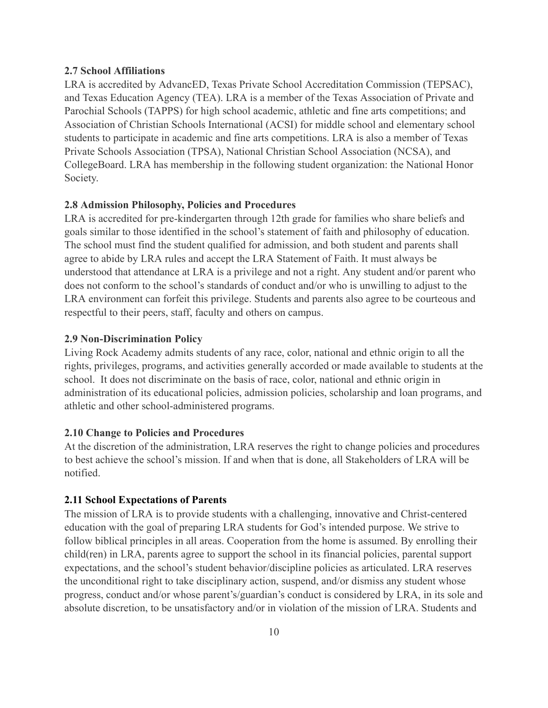### **2.7 School Affiliations**

LRA is accredited by AdvancED, Texas Private School Accreditation Commission (TEPSAC), and Texas Education Agency (TEA). LRA is a member of the Texas Association of Private and Parochial Schools (TAPPS) for high school academic, athletic and fine arts competitions; and Association of Christian Schools International (ACSI) for middle school and elementary school students to participate in academic and fine arts competitions. LRA is also a member of Texas Private Schools Association (TPSA), National Christian School Association (NCSA), and CollegeBoard. LRA has membership in the following student organization: the National Honor Society.

#### 2.8 Admission Philosophy, Policies and Procedures

LRA is accredited for pre-kindergarten through 12th grade for families who share beliefs and goals similar to those identified in the school's statement of faith and philosophy of education. The school must find the student qualified for admission, and both student and parents shall agree to abide by LRA rules and accept the LRA Statement of Faith. It must always be understood that attendance at LRA is a privilege and not a right. Any student and/or parent who does not conform to the school's standards of conduct and/or who is unwilling to adjust to the LRA environment can forfeit this privilege. Students and parents also agree to be courteous and respectful to their peers, staff, faculty and others on campus.

#### **2.9 Non-Discrimination Policy**

Living Rock Academy admits students of any race, color, national and ethnic origin to all the rights, privileges, programs, and activities generally accorded or made available to students at the school. It does not discriminate on the basis of race, color, national and ethnic origin in administration of its educational policies, admission policies, scholarship and loan programs, and athletic and other school-administered programs.

#### 2.10 Change to Policies and Procedures

At the discretion of the administration, LRA reserves the right to change policies and procedures to best achieve the school's mission. If and when that is done, all Stakeholders of LRA will be notified.

#### **2.11 School Expectations of Parents**

The mission of LRA is to provide students with a challenging, innovative and Christ-centered education with the goal of preparing LRA students for God's intended purpose. We strive to follow biblical principles in all areas. Cooperation from the home is assumed. By enrolling their child(ren) in LRA, parents agree to support the school in its financial policies, parental support expectations, and the school's student behavior/discipline policies as articulated. LRA reserves the unconditional right to take disciplinary action, suspend, and/or dismiss any student whose progress, conduct and/or whose parent's/guardian's conduct is considered by LRA, in its sole and absolute discretion, to be unsatisfactory and/or in violation of the mission of LRA. Students and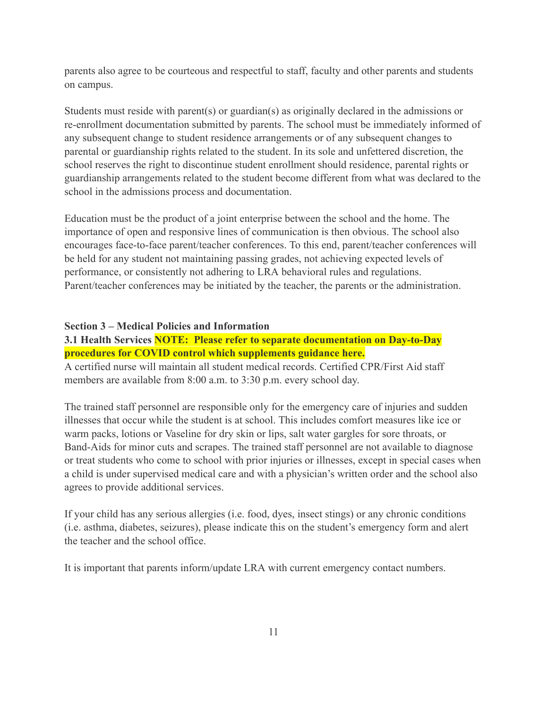parents also agree to be courteous and respectful to staff, faculty and other parents and students on campus.

Students must reside with parent(s) or guardian(s) as originally declared in the admissions or re-enrollment documentation submitted by parents. The school must be immediately informed of any subsequent change to student residence arrangements or of any subsequent changes to parental or guardianship rights related to the student. In its sole and unfettered discretion, the school reserves the right to discontinue student enrollment should residence, parental rights or guardianship arrangements related to the student become different from what was declared to the school in the admissions process and documentation.

Education must be the product of a joint enterprise between the school and the home. The importance of open and responsive lines of communication is then obvious. The school also encourages face-to-face parent/teacher conferences. To this end, parent/teacher conferences will be held for any student not maintaining passing grades, not achieving expected levels of performance, or consistently not adhering to LRA behavioral rules and regulations. Parent/teacher conferences may be initiated by the teacher, the parents or the administration.

#### **Section 3 – Medical Policies and Information**

3.1 Health Services **NOTE:** Please refer to separate documentation on Day-to-Day procedures for COVID control which supplements guidance here. A certified nurse will maintain all student medical records. Certified CPR/First Aid staff members are available from 8:00 a.m. to 3:30 p.m. every school day.

The trained staff personnel are responsible only for the emergency care of injuries and sudden illnesses that occur while the student is at school. This includes comfort measures like ice or warm packs, lotions or Vaseline for dry skin or lips, salt water gargles for sore throats, or Band-Aids for minor cuts and scrapes. The trained staff personnel are not available to diagnose or treat students who come to school with prior injuries or illnesses, except in special cases when a child is under supervised medical care and with a physician's written order and the school also agrees to provide additional services.

If your child has any serious allergies (i.e. food, dyes, insect stings) or any chronic conditions (i.e. asthma, diabetes, seizures), please indicate this on the student's emergency form and alert the teacher and the school office

It is important that parents inform/update LRA with current emergency contact numbers.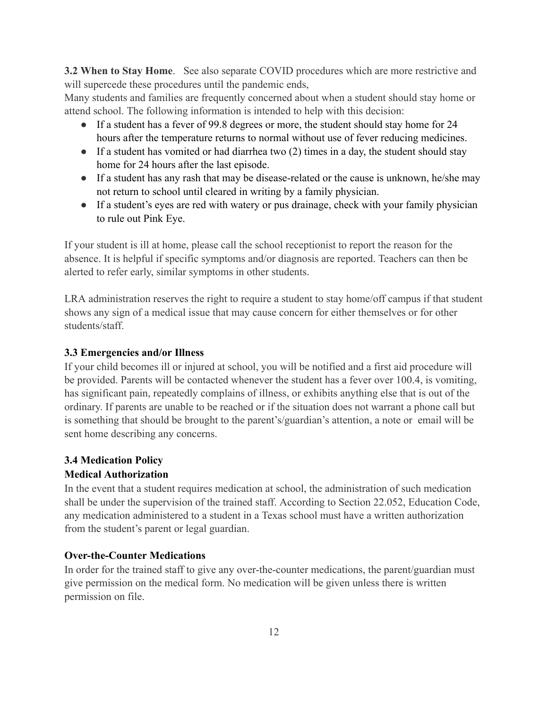**3.2 When to Stay Home.** See also separate COVID procedures which are more restrictive and will supercede these procedures until the pandemic ends,

Many students and families are frequently concerned about when a student should stay home or attend school. The following information is intended to help with this decision:

- If a student has a fever of 99.8 degrees or more, the student should stay home for 24 hours after the temperature returns to normal without use of fever reducing medicines.
- If a student has vomited or had diarrhea two  $(2)$  times in a day, the student should stay home for 24 hours after the last episode.
- If a student has any rash that may be disease-related or the cause is unknown, he/she may not return to school until cleared in writing by a family physician.
- If a student's eyes are red with watery or pus drainage, check with your family physician to rule out Pink Eye.

If your student is ill at home, please call the school receptionist to report the reason for the absence. It is helpful if specific symptoms and/or diagnosis are reported. Teachers can then be alerted to refer early, similar symptoms in other students.

LRA administration reserves the right to require a student to stay home/off campus if that student shows any sign of a medical issue that may cause concern for either themselves or for other students/staff.

# 3.3 Emergencies and/or Illness

If your child becomes ill or injured at school, you will be notified and a first aid procedure will be provided. Parents will be contacted whenever the student has a fever over 100.4, is vomiting, has significant pain, repeatedly complains of illness, or exhibits anything else that is out of the ordinary. If parents are unable to be reached or if the situation does not warrant a phone call but is something that should be brought to the parent's/guardian's attention, a note or email will be sent home describing any concerns.

# **3.4 Medication Policy**

# **Medical Authorization**

In the event that a student requires medication at school, the administration of such medication shall be under the supervision of the trained staff. According to Section 22.052, Education Code, any medication administered to a student in a Texas school must have a written authorization from the student's parent or legal guardian.

## **Over-the-Counter Medications**

In order for the trained staff to give any over-the-counter medications, the parent/guardian must give permission on the medical form. No medication will be given unless there is written permission on file.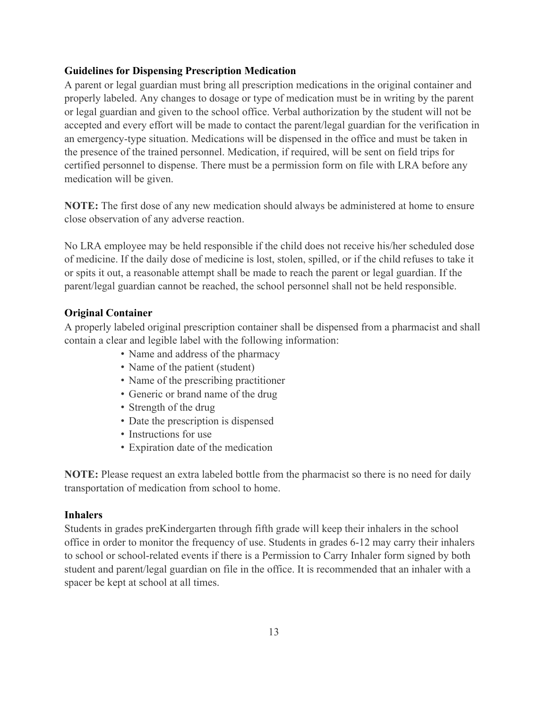### **Guidelines for Dispensing Prescription Medication**

A parent or legal guardian must bring all prescription medications in the original container and properly labeled. Any changes to dosage or type of medication must be in writing by the parent or legal guardian and given to the school office. Verbal authorization by the student will not be accepted and every effort will be made to contact the parent/legal guardian for the verification in an emergency-type situation. Medications will be dispensed in the office and must be taken in the presence of the trained personnel. Medication, if required, will be sent on field trips for certified personnel to dispense. There must be a permission form on file with LRA before any medication will be given.

**NOTE:** The first dose of any new medication should always be administered at home to ensure close observation of any adverse reaction.

No LRA employee may be held responsible if the child does not receive his/her scheduled dose of medicine. If the daily dose of medicine is lost, stolen, spilled, or if the child refuses to take it or spits it out, a reasonable attempt shall be made to reach the parent or legal guardian. If the parent/legal guardian cannot be reached, the school personnel shall not be held responsible.

#### **Original Container**

A properly labeled original prescription container shall be dispensed from a pharmacist and shall contain a clear and legible label with the following information:

- Name and address of the pharmacy
- Name of the patient (student)
- Name of the prescribing practitioner
- Generic or brand name of the drug
- Strength of the drug
- Date the prescription is dispensed
- Instructions for use
- Expiration date of the medication

**NOTE:** Please request an extra labeled bottle from the pharmacist so there is no need for daily transportation of medication from school to home.

### **Inhalers**

Students in grades preKindergarten through fifth grade will keep their inhalers in the school office in order to monitor the frequency of use. Students in grades 6-12 may carry their inhalers to school or school-related events if there is a Permission to Carry Inhaler form signed by both student and parent/legal guardian on file in the office. It is recommended that an inhaler with a spacer be kept at school at all times.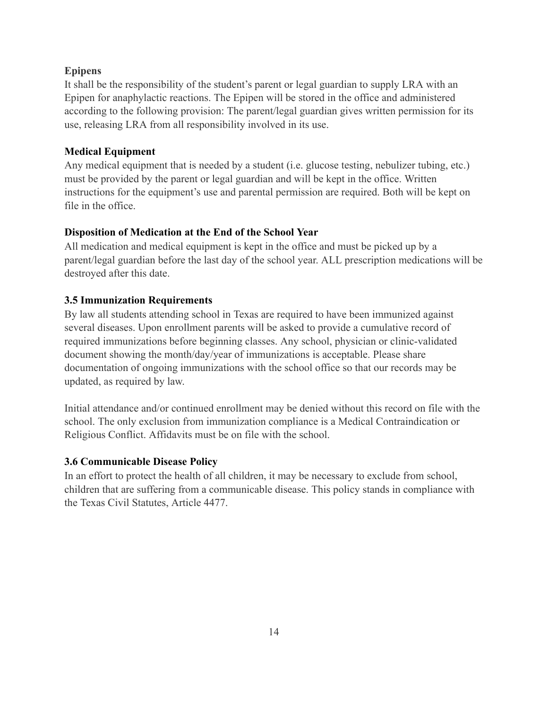### **Epipens**

It shall be the responsibility of the student's parent or legal guardian to supply LRA with an Epipen for anaphylactic reactions. The Epipen will be stored in the office and administered according to the following provision: The parent/legal guardian gives written permission for its use, releasing LRA from all responsibility involved in its use.

### **Medical Equipment**

Any medical equipment that is needed by a student (i.e. glucose testing, nebulizer tubing, etc.) must be provided by the parent or legal guardian and will be kept in the office. Written instructions for the equipment's use and parental permission are required. Both will be kept on file in the office

## Disposition of Medication at the End of the School Year

All medication and medical equipment is kept in the office and must be picked up by a parent/legal guardian before the last day of the school year. ALL prescription medications will be destroyed after this date.

## **3.5 Immunization Requirements**

By law all students attending school in Texas are required to have been immunized against several diseases. Upon enrollment parents will be asked to provide a cumulative record of required immunizations before beginning classes. Any school, physician or clinic-validated document showing the month/day/year of immunizations is acceptable. Please share documentation of ongoing immunizations with the school office so that our records may be updated, as required by law.

Initial attendance and/or continued enrollment may be denied without this record on file with the school. The only exclusion from immunization compliance is a Medical Contraindication or Religious Conflict. Affidavits must be on file with the school.

## **3.6 Communicable Disease Policy**

In an effort to protect the health of all children, it may be necessary to exclude from school, children that are suffering from a communicable disease. This policy stands in compliance with the Texas Civil Statutes, Article 4477.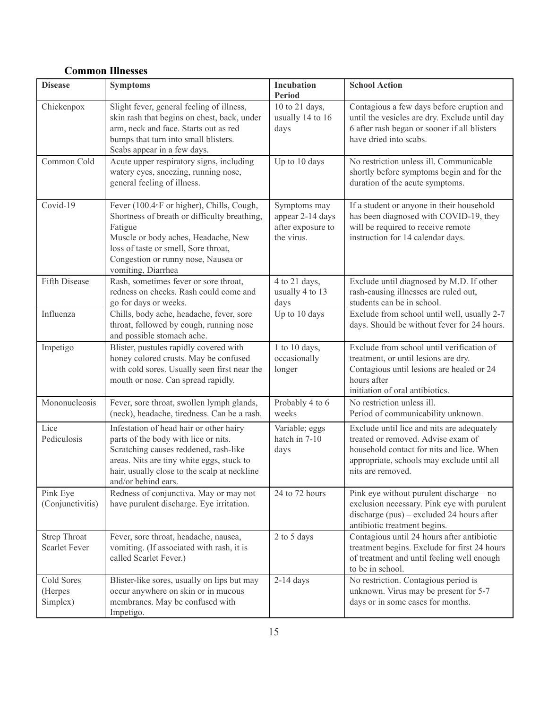# **Common Illnesses**

| <b>Disease</b>                              | <b>Symptoms</b>                                                                                                                                                                                                                                  | Incubation<br>Period                                                | <b>School Action</b>                                                                                                                                                                             |
|---------------------------------------------|--------------------------------------------------------------------------------------------------------------------------------------------------------------------------------------------------------------------------------------------------|---------------------------------------------------------------------|--------------------------------------------------------------------------------------------------------------------------------------------------------------------------------------------------|
| Chickenpox                                  | Slight fever, general feeling of illness,<br>skin rash that begins on chest, back, under<br>arm, neck and face. Starts out as red<br>bumps that turn into small blisters.<br>Scabs appear in a few days.                                         | 10 to 21 days,<br>usually 14 to 16<br>days                          | Contagious a few days before eruption and<br>until the vesicles are dry. Exclude until day<br>6 after rash began or sooner if all blisters<br>have dried into scabs.                             |
| Common Cold                                 | Acute upper respiratory signs, including<br>watery eyes, sneezing, running nose,<br>general feeling of illness.                                                                                                                                  | Up to 10 days                                                       | No restriction unless ill. Communicable<br>shortly before symptoms begin and for the<br>duration of the acute symptoms.                                                                          |
| Covid-19                                    | Fever (100.4°F or higher), Chills, Cough,<br>Shortness of breath or difficulty breathing,<br>Fatigue<br>Muscle or body aches, Headache, New<br>loss of taste or smell, Sore throat,<br>Congestion or runny nose, Nausea or<br>vomiting, Diarrhea | Symptoms may<br>appear 2-14 days<br>after exposure to<br>the virus. | If a student or anyone in their household<br>has been diagnosed with COVID-19, they<br>will be required to receive remote<br>instruction for 14 calendar days.                                   |
| Fifth Disease                               | Rash, sometimes fever or sore throat,<br>redness on cheeks. Rash could come and<br>go for days or weeks.                                                                                                                                         | 4 to 21 days,<br>usually 4 to 13<br>days                            | Exclude until diagnosed by M.D. If other<br>rash-causing illnesses are ruled out,<br>students can be in school.                                                                                  |
| Influenza                                   | Chills, body ache, headache, fever, sore<br>throat, followed by cough, running nose<br>and possible stomach ache.                                                                                                                                | Up to 10 days                                                       | Exclude from school until well, usually 2-7<br>days. Should be without fever for 24 hours.                                                                                                       |
| Impetigo                                    | Blister, pustules rapidly covered with<br>honey colored crusts. May be confused<br>with cold sores. Usually seen first near the<br>mouth or nose. Can spread rapidly.                                                                            | 1 to 10 days,<br>occasionally<br>longer                             | Exclude from school until verification of<br>treatment, or until lesions are dry.<br>Contagious until lesions are healed or 24<br>hours after<br>initiation of oral antibiotics.                 |
| Mononucleosis                               | Fever, sore throat, swollen lymph glands,<br>(neck), headache, tiredness. Can be a rash.                                                                                                                                                         | Probably 4 to 6<br>weeks                                            | No restriction unless ill.<br>Period of communicability unknown.                                                                                                                                 |
| Lice<br>Pediculosis                         | Infestation of head hair or other hairy<br>parts of the body with lice or nits.<br>Scratching causes reddened, rash-like<br>areas. Nits are tiny white eggs, stuck to<br>hair, usually close to the scalp at neckline<br>and/or behind ears.     | Variable; eggs<br>hatch in 7-10<br>days                             | Exclude until lice and nits are adequately<br>treated or removed. Advise exam of<br>household contact for nits and lice. When<br>appropriate, schools may exclude until all<br>nits are removed. |
| Pink Eye<br>(Conjunctivitis)                | Redness of conjunctiva. May or may not<br>have purulent discharge. Eye irritation.                                                                                                                                                               | 24 to 72 hours                                                      | Pink eye without purulent discharge – no<br>exclusion necessary. Pink eye with purulent<br>discharge $(pus)$ – excluded 24 hours after<br>antibiotic treatment begins.                           |
| <b>Strep Throat</b><br><b>Scarlet Fever</b> | Fever, sore throat, headache, nausea,<br>vomiting. (If associated with rash, it is<br>called Scarlet Fever.)                                                                                                                                     | 2 to 5 days                                                         | Contagious until 24 hours after antibiotic<br>treatment begins. Exclude for first 24 hours<br>of treatment and until feeling well enough<br>to be in school.                                     |
| Cold Sores<br>(Herpes<br>Simplex)           | Blister-like sores, usually on lips but may<br>occur anywhere on skin or in mucous<br>membranes. May be confused with<br>Impetigo.                                                                                                               | $2-14$ days                                                         | No restriction. Contagious period is<br>unknown. Virus may be present for 5-7<br>days or in some cases for months.                                                                               |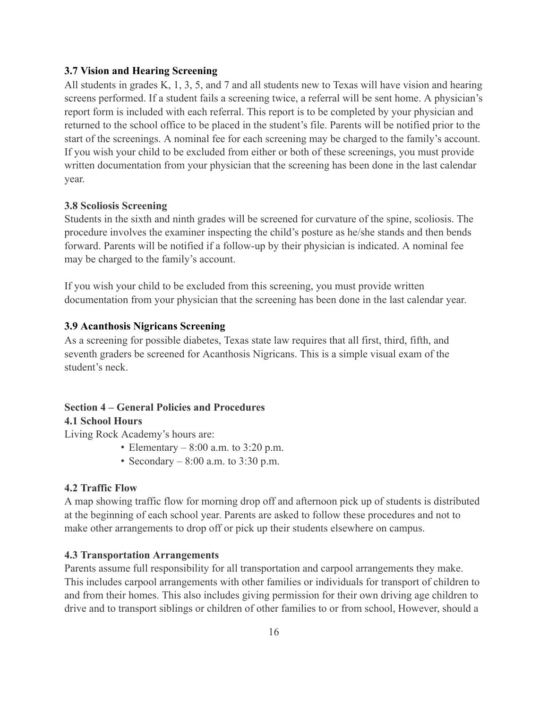#### 3.7 Vision and Hearing Screening

All students in grades K, 1, 3, 5, and 7 and all students new to Texas will have vision and hearing screens performed. If a student fails a screening twice, a referral will be sent home. A physician's report form is included with each referral. This report is to be completed by your physician and returned to the school office to be placed in the student's file. Parents will be notified prior to the start of the screenings. A nominal fee for each screening may be charged to the family's account. If you wish your child to be excluded from either or both of these screenings, you must provide written documentation from your physician that the screening has been done in the last calendar year.

#### **3.8 Scoliosis Screening**

Students in the sixth and ninth grades will be screened for curvature of the spine, scoliosis. The procedure involves the examiner inspecting the child's posture as he/she stands and then bends forward. Parents will be notified if a follow-up by their physician is indicated. A nominal fee may be charged to the family's account.

If you wish your child to be excluded from this screening, you must provide written documentation from your physician that the screening has been done in the last calendar year.

#### **3.9 Acanthosis Nigricans Screening**

As a screening for possible diabetes, Texas state law requires that all first, third, fifth, and seventh graders be screened for Acanthosis Nigricans. This is a simple visual exam of the student's neck.

# **Section 4 – General Policies and Procedures**

#### **4.1 School Hours**

Living Rock Academy's hours are:

- Elementary  $-8:00$  a.m. to 3:20 p.m.
- Secondary  $-8:00$  a.m. to 3:30 p.m.

#### **4.2 Traffic Flow**

A map showing traffic flow for morning drop off and afternoon pick up of students is distributed at the beginning of each school year. Parents are asked to follow these procedures and not to make other arrangements to drop off or pick up their students elsewhere on campus.

#### **4.3 Transportation Arrangements**

Parents assume full responsibility for all transportation and carpool arrangements they make. This includes carpool arrangements with other families or individuals for transport of children to and from their homes. This also includes giving permission for their own driving age children to drive and to transport siblings or children of other families to or from school, However, should a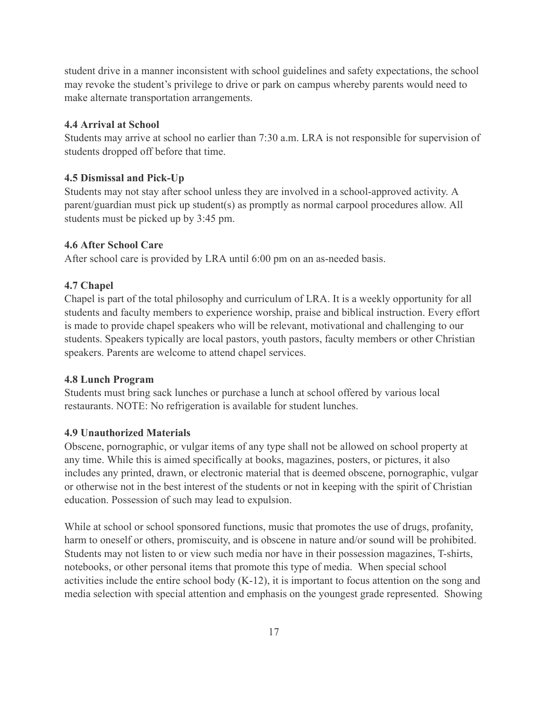student drive in a manner inconsistent with school guidelines and safety expectations, the school may revoke the student's privilege to drive or park on campus whereby parents would need to make alternate transportation arrangements.

#### **4.4 Arrival at School**

Students may arrive at school no earlier than 7:30 a.m. LRA is not responsible for supervision of students dropped off before that time.

### 4.5 Dismissal and Pick-Up

Students may not stay after school unless they are involved in a school-approved activity. A parent/guardian must pick up student(s) as promptly as normal carpool procedures allow. All students must be picked up by 3:45 pm.

#### **4.6 After School Care**

After school care is provided by LRA until 6:00 pm on an as-needed basis.

#### 4.7 Chapel

Chapel is part of the total philosophy and curriculum of LRA. It is a weekly opportunity for all students and faculty members to experience worship, praise and biblical instruction. Every effort is made to provide chapel speakers who will be relevant, motivational and challenging to our students. Speakers typically are local pastors, youth pastors, faculty members or other Christian speakers. Parents are welcome to attend chapel services.

#### **4.8 Lunch Program**

Students must bring sack lunches or purchase a lunch at school offered by various local restaurants. NOTE: No refrigeration is available for student lunches.

### **4.9 Unauthorized Materials**

Obscene, pornographic, or vulgar items of any type shall not be allowed on school property at any time. While this is aimed specifically at books, magazines, posters, or pictures, it also includes any printed, drawn, or electronic material that is deemed obscene, pornographic, vulgar or otherwise not in the best interest of the students or not in keeping with the spirit of Christian education. Possession of such may lead to expulsion.

While at school or school sponsored functions, music that promotes the use of drugs, profanity, harm to oneself or others, promiscuity, and is obscene in nature and/or sound will be prohibited. Students may not listen to or view such media nor have in their possession magazines, T-shirts, notebooks, or other personal items that promote this type of media. When special school activities include the entire school body  $(K-12)$ , it is important to focus attention on the song and media selection with special attention and emphasis on the youngest grade represented. Showing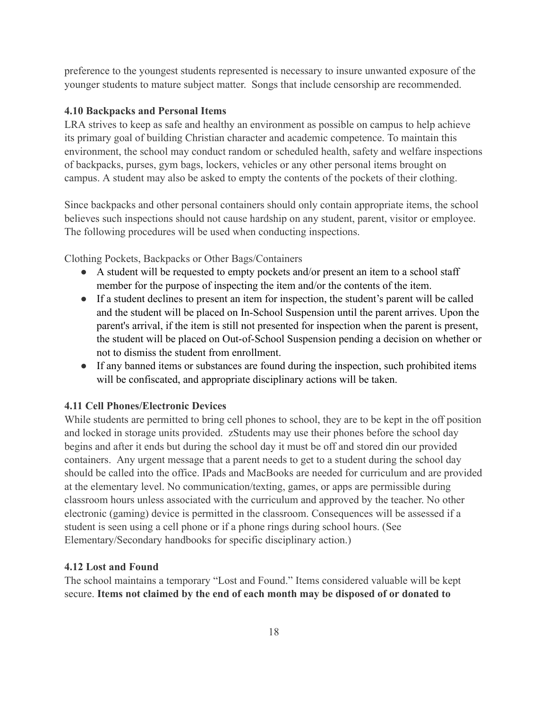preference to the youngest students represented is necessary to insure unwanted exposure of the younger students to mature subject matter. Songs that include censorship are recommended.

#### **4.10 Backpacks and Personal Items**

LRA strives to keep as safe and healthy an environment as possible on campus to help achieve its primary goal of building Christian character and academic competence. To maintain this environment, the school may conduct random or scheduled health, safety and welfare inspections of backpacks, purses, gym bags, lockers, vehicles or any other personal items brought on campus. A student may also be asked to empty the contents of the pockets of their clothing.

Since backpacks and other personal containers should only contain appropriate items, the school believes such inspections should not cause hardship on any student, parent, visitor or employee. The following procedures will be used when conducting inspections.

Clothing Pockets, Backpacks or Other Bags/Containers

- A student will be requested to empty pockets and/or present an item to a school staff member for the purpose of inspecting the item and/or the contents of the item.
- If a student declines to present an item for inspection, the student's parent will be called and the student will be placed on In-School Suspension until the parent arrives. Upon the parent's arrival, if the item is still not presented for inspection when the parent is present, the student will be placed on Out-of-School Suspension pending a decision on whether or not to dismiss the student from enrollment.
- If any banned items or substances are found during the inspection, such prohibited items will be confiscated, and appropriate disciplinary actions will be taken.

#### **4.11 Cell Phones/Electronic Devices**

While students are permitted to bring cell phones to school, they are to be kept in the off position and locked in storage units provided. zStudents may use their phones before the school day begins and after it ends but during the school day it must be off and stored din our provided containers. Any urgent message that a parent needs to get to a student during the school day should be called into the office. IPads and MacBooks are needed for curriculum and are provided at the elementary level. No communication/texting, games, or apps are permissible during classroom hours unless associated with the curriculum and approved by the teacher. No other electronic (gaming) device is permitted in the classroom. Consequences will be assessed if a student is seen using a cell phone or if a phone rings during school hours. (See Elementary/Secondary handbooks for specific disciplinary action.)

#### 4.12 Lost and Found

The school maintains a temporary "Lost and Found." Items considered valuable will be kept secure. Items not claimed by the end of each month may be disposed of or donated to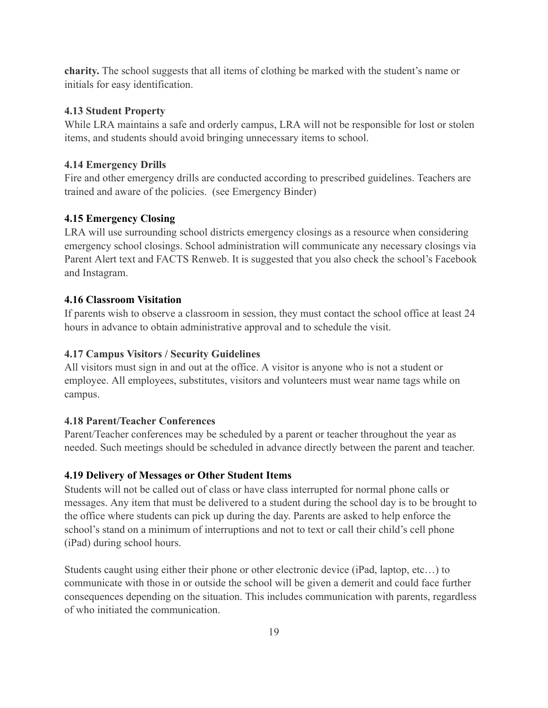**charity.** The school suggests that all items of clothing be marked with the student's name or initials for easy identification.

### **4.13 Student Property**

While LRA maintains a safe and orderly campus, LRA will not be responsible for lost or stolen items, and students should avoid bringing unnecessary items to school.

### **4.14 Emergency Drills**

Fire and other emergency drills are conducted according to prescribed guidelines. Teachers are trained and aware of the policies. (see Emergency Binder)

## **4.15 Emergency Closing**

LRA will use surrounding school districts emergency closings as a resource when considering emergency school closings. School administration will communicate any necessary closings via Parent Alert text and FACTS Renweb. It is suggested that you also check the school's Facebook and Instagram.

## **4.16 Classroom Visitation**

If parents wish to observe a classroom in session, they must contact the school office at least 24 hours in advance to obtain administrative approval and to schedule the visit.

### **4.17 Campus Visitors / Security Guidelines**

All visitors must sign in and out at the office. A visitor is anyone who is not a student or employee. All employees, substitutes, visitors and volunteers must wear name tags while on campus.

## **4.18 Parent/Teacher Conferences**

Parent/Teacher conferences may be scheduled by a parent or teacher throughout the year as needed. Such meetings should be scheduled in advance directly between the parent and teacher.

## 4.19 Delivery of Messages or Other Student Items

Students will not be called out of class or have class interrupted for normal phone calls or messages. Any item that must be delivered to a student during the school day is to be brought to the office where students can pick up during the day. Parents are asked to help enforce the school's stand on a minimum of interruptions and not to text or call their child's cell phone (iPad) during school hours.

Students caught using either their phone or other electronic device (iPad, laptop, etc...) to communicate with those in or outside the school will be given a demerit and could face further consequences depending on the situation. This includes communication with parents, regardless of who initiated the communication.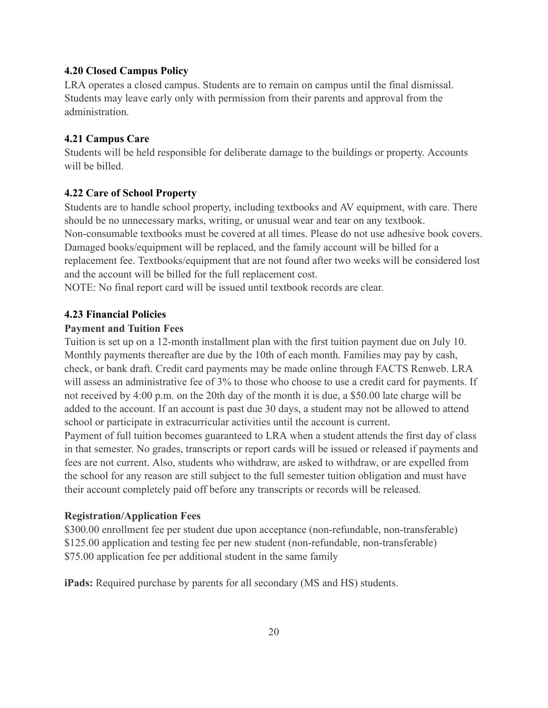#### **4.20 Closed Campus Policy**

LRA operates a closed campus. Students are to remain on campus until the final dismissal. Students may leave early only with permission from their parents and approval from the administration

#### **4.21 Campus Care**

Students will be held responsible for deliberate damage to the buildings or property. Accounts will be billed

#### **4.22 Care of School Property**

Students are to handle school property, including textbooks and AV equipment, with care. There should be no unnecessary marks, writing, or unusual wear and tear on any textbook. Non-consumable textbooks must be covered at all times. Please do not use adhesive book covers. Damaged books/equipment will be replaced, and the family account will be billed for a replacement fee. Textbooks/equipment that are not found after two weeks will be considered lost and the account will be billed for the full replacement cost.

NOTE: No final report card will be issued until textbook records are clear.

#### **4.23 Financial Policies**

#### **Payment and Tuition Fees**

Tuition is set up on a 12-month installment plan with the first tuition payment due on July 10. Monthly payments thereafter are due by the 10th of each month. Families may pay by cash, check, or bank draft. Credit card payments may be made online through FACTS Renweb. LRA will assess an administrative fee of 3% to those who choose to use a credit card for payments. If not received by 4:00 p.m. on the 20th day of the month it is due, a \$50.00 late charge will be added to the account. If an account is past due 30 days, a student may not be allowed to attend school or participate in extracurricular activities until the account is current.

Payment of full tuition becomes guaranteed to LRA when a student attends the first day of class in that semester. No grades, transcripts or report cards will be issued or released if payments and fees are not current. Also, students who withdraw, are asked to withdraw, or are expelled from the school for any reason are still subject to the full semester tuition obligation and must have their account completely paid off before any transcripts or records will be released.

#### **Registration/Application Fees**

\$300.00 enrollment fee per student due upon acceptance (non-refundable, non-transferable) \$125.00 application and testing fee per new student (non-refundable, non-transferable) \$75.00 application fee per additional student in the same family

**iPads:** Required purchase by parents for all secondary (MS and HS) students.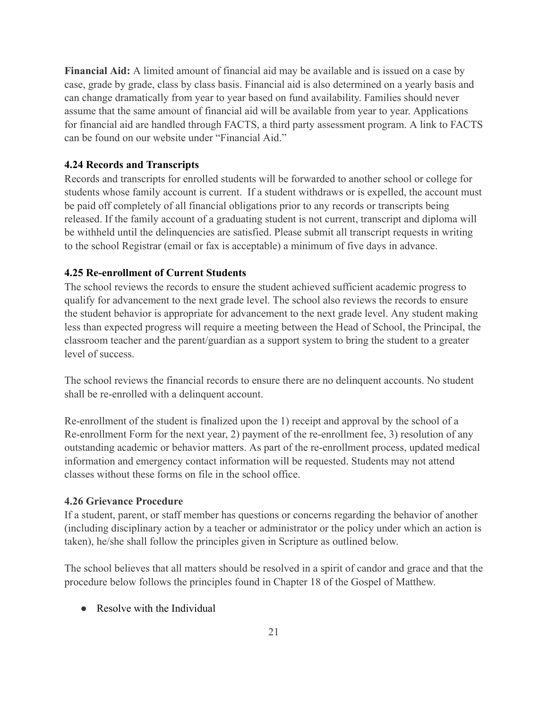Financial Aid: A limited amount of financial aid may be available and is issued on a case by case, grade by grade, class by class basis. Financial aid is also determined on a yearly basis and can change dramatically from year to year based on fund availability. Families should never assume that the same amount of financial aid will be available from year to year. Applications for financial aid are handled through FACTS, a third party assessment program. A link to FACTS can be found on our website under "Financial Aid."

#### **4.24 Records and Transcripts**

Records and transcripts for enrolled students will be forwarded to another school or college for students whose family account is current. If a student withdraws or is expelled, the account must be paid off completely of all financial obligations prior to any records or transcripts being released. If the family account of a graduating student is not current, transcript and diploma will be withheld until the delinguencies are satisfied. Please submit all transcript requests in writing to the school Registrar (email or fax is acceptable) a minimum of five days in advance.

### **4.25 Re-enrollment of Current Students**

The school reviews the records to ensure the student achieved sufficient academic progress to qualify for advancement to the next grade level. The school also reviews the records to ensure the student behavior is appropriate for advancement to the next grade level. Any student making less than expected progress will require a meeting between the Head of School, the Principal, the classroom teacher and the parent/guardian as a support system to bring the student to a greater level of success.

The school reviews the financial records to ensure there are no delinquent accounts. No student shall be re-enrolled with a delinquent account.

Re-enrollment of the student is finalized upon the 1) receipt and approval by the school of a Re-enrollment Form for the next year, 2) payment of the re-enrollment fee, 3) resolution of any outstanding academic or behavior matters. As part of the re-enrollment process, updated medical information and emergency contact information will be requested. Students may not attend classes without these forms on file in the school office

### **4.26 Grievance Procedure**

If a student, parent, or staff member has questions or concerns regarding the behavior of another (including disciplinary action by a teacher or administrator or the policy under which an action is taken), he/she shall follow the principles given in Scripture as outlined below.

The school believes that all matters should be resolved in a spirit of candor and grace and that the procedure below follows the principles found in Chapter 18 of the Gospel of Matthew.

• Resolve with the Individual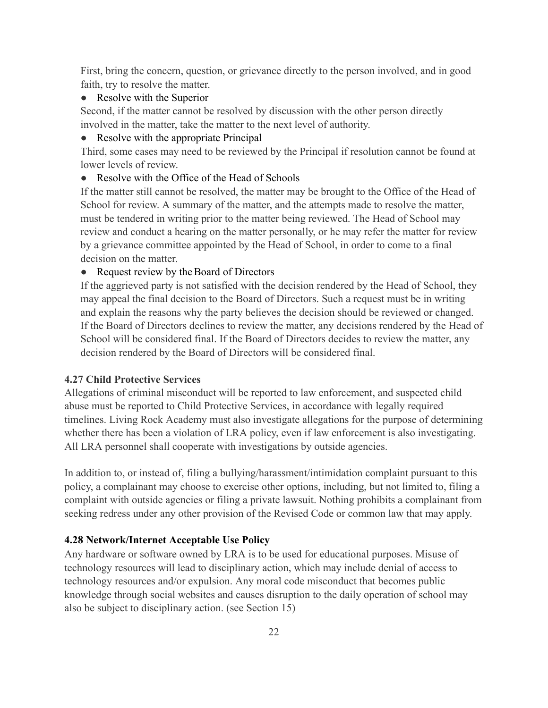First, bring the concern, question, or grievance directly to the person involved, and in good faith, try to resolve the matter.

### • Resolve with the Superior

Second, if the matter cannot be resolved by discussion with the other person directly involved in the matter, take the matter to the next level of authority.

• Resolve with the appropriate Principal

Third, some cases may need to be reviewed by the Principal if resolution cannot be found at lower levels of review

### • Resolve with the Office of the Head of Schools

If the matter still cannot be resolved, the matter may be brought to the Office of the Head of School for review. A summary of the matter, and the attempts made to resolve the matter, must be tendered in writing prior to the matter being reviewed. The Head of School may review and conduct a hearing on the matter personally, or he may refer the matter for review by a grievance committee appointed by the Head of School, in order to come to a final decision on the matter.

#### • Request review by the Board of Directors

If the aggrieved party is not satisfied with the decision rendered by the Head of School, they may appeal the final decision to the Board of Directors. Such a request must be in writing and explain the reasons why the party believes the decision should be reviewed or changed. If the Board of Directors declines to review the matter, any decisions rendered by the Head of School will be considered final. If the Board of Directors decides to review the matter, any decision rendered by the Board of Directors will be considered final.

#### **4.27 Child Protective Services**

Allegations of criminal misconduct will be reported to law enforcement, and suspected child abuse must be reported to Child Protective Services, in accordance with legally required timelines. Living Rock Academy must also investigate allegations for the purpose of determining whether there has been a violation of LRA policy, even if law enforcement is also investigating. All LRA personnel shall cooperate with investigations by outside agencies.

In addition to, or instead of, filing a bullying/harassment/intimidation complaint pursuant to this policy, a complainant may choose to exercise other options, including, but not limited to, filing a complaint with outside agencies or filing a private lawsuit. Nothing prohibits a complainant from seeking redress under any other provision of the Revised Code or common law that may apply.

### 4.28 Network/Internet Acceptable Use Policy

Any hardware or software owned by LRA is to be used for educational purposes. Misuse of technology resources will lead to disciplinary action, which may include denial of access to technology resources and/or expulsion. Any moral code misconduct that becomes public knowledge through social websites and causes disruption to the daily operation of school may also be subject to disciplinary action. (see Section 15)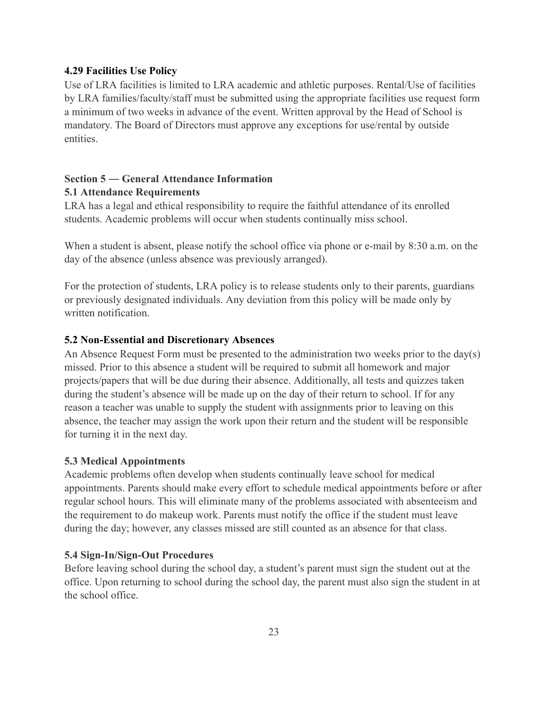#### **4.29 Facilities Use Policy**

Use of LRA facilities is limited to LRA academic and athletic purposes. Rental/Use of facilities by LRA families/faculty/staff must be submitted using the appropriate facilities use request form a minimum of two weeks in advance of the event. Written approval by the Head of School is mandatory. The Board of Directors must approve any exceptions for use/rental by outside entities.

### Section 5 – General Attendance Information **5.1 Attendance Requirements**

LRA has a legal and ethical responsibility to require the faithful attendance of its enrolled students. Academic problems will occur when students continually miss school.

When a student is absent, please notify the school office via phone or e-mail by 8:30 a.m. on the day of the absence (unless absence was previously arranged).

For the protection of students, LRA policy is to release students only to their parents, guardians or previously designated individuals. Any deviation from this policy will be made only by written notification.

### 5.2 Non-Essential and Discretionary Absences

An Absence Request Form must be presented to the administration two weeks prior to the day(s) missed. Prior to this absence a student will be required to submit all homework and major projects/papers that will be due during their absence. Additionally, all tests and quizzes taken during the student's absence will be made up on the day of their return to school. If for any reason a teacher was unable to supply the student with assignments prior to leaving on this absence, the teacher may assign the work upon their return and the student will be responsible for turning it in the next day.

#### **5.3 Medical Appointments**

Academic problems often develop when students continually leave school for medical appointments. Parents should make every effort to schedule medical appointments before or after regular school hours. This will eliminate many of the problems associated with absenteeism and the requirement to do makeup work. Parents must notify the office if the student must leave during the day; however, any classes missed are still counted as an absence for that class.

#### 5.4 Sign-In/Sign-Out Procedures

Before leaving school during the school day, a student's parent must sign the student out at the office. Upon returning to school during the school day, the parent must also sign the student in at the school office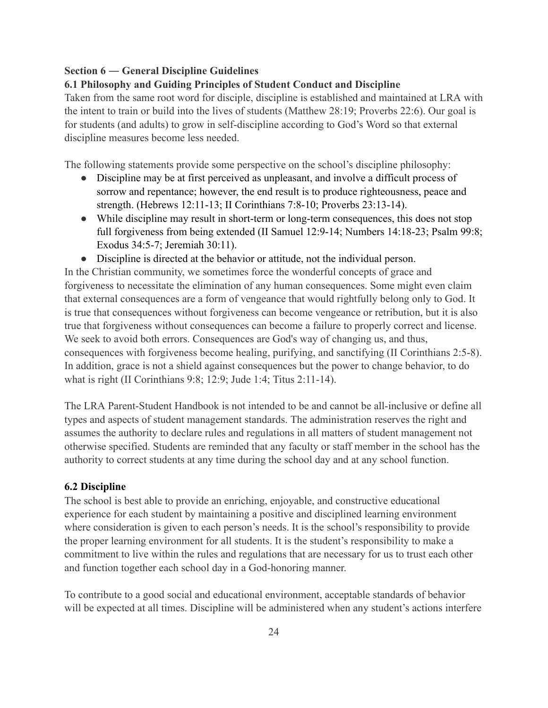### Section 6 — General Discipline Guidelines

### 6.1 Philosophy and Guiding Principles of Student Conduct and Discipline

Taken from the same root word for disciple, discipline is established and maintained at LRA with the intent to train or build into the lives of students (Matthew 28:19; Proverbs 22:6). Our goal is for students (and adults) to grow in self-discipline according to God's Word so that external discipline measures become less needed.

The following statements provide some perspective on the school's discipline philosophy:

- Discipline may be at first perceived as unpleasant, and involve a difficult process of sorrow and repentance; however, the end result is to produce righteousness, peace and strength. (Hebrews 12:11-13; II Corinthians 7:8-10; Proverbs 23:13-14).
- While discipline may result in short-term or long-term consequences, this does not stop full forgiveness from being extended (II Samuel 12:9-14; Numbers 14:18-23; Psalm 99:8; Exodus 34:5-7; Jeremiah 30:11).
- Discipline is directed at the behavior or attitude, not the individual person.

In the Christian community, we sometimes force the wonderful concepts of grace and forgiveness to necessitate the elimination of any human consequences. Some might even claim that external consequences are a form of vengeance that would rightfully belong only to God. It is true that consequences without forgiveness can become vengeance or retribution, but it is also true that forgiveness without consequences can become a failure to properly correct and license. We seek to avoid both errors. Consequences are God's way of changing us, and thus, consequences with forgiveness become healing, purifying, and sanctifying (II Corinthians 2:5-8). In addition, grace is not a shield against consequences but the power to change behavior, to do what is right (II Corinthians 9:8; 12:9; Jude 1:4; Titus 2:11-14).

The LRA Parent-Student Handbook is not intended to be and cannot be all-inclusive or define all types and aspects of student management standards. The administration reserves the right and assumes the authority to declare rules and regulations in all matters of student management not otherwise specified. Students are reminded that any faculty or staff member in the school has the authority to correct students at any time during the school day and at any school function.

### **6.2 Discipline**

The school is best able to provide an enriching, enjoyable, and constructive educational experience for each student by maintaining a positive and disciplined learning environment where consideration is given to each person's needs. It is the school's responsibility to provide the proper learning environment for all students. It is the student's responsibility to make a commitment to live within the rules and regulations that are necessary for us to trust each other and function together each school day in a God-honoring manner.

To contribute to a good social and educational environment, acceptable standards of behavior will be expected at all times. Discipline will be administered when any student's actions interfere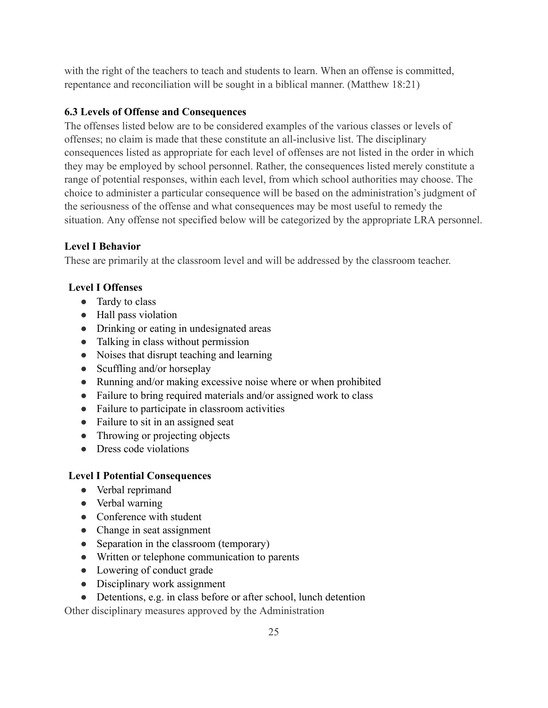with the right of the teachers to teach and students to learn. When an offense is committed, repentance and reconciliation will be sought in a biblical manner. (Matthew 18:21)

## **6.3 Levels of Offense and Consequences**

The offenses listed below are to be considered examples of the various classes or levels of offenses; no claim is made that these constitute an all-inclusive list. The disciplinary consequences listed as appropriate for each level of offenses are not listed in the order in which they may be employed by school personnel. Rather, the consequences listed merely constitute a range of potential responses, within each level, from which school authorities may choose. The choice to administer a particular consequence will be based on the administration's judgment of the seriousness of the offense and what consequences may be most useful to remedy the situation. Any offense not specified below will be categorized by the appropriate LRA personnel.

# **Level I Behavior**

These are primarily at the classroom level and will be addressed by the classroom teacher.

# **Level I Offenses**

- Tardy to class
- Hall pass violation
- Drinking or eating in undesignated areas
- Talking in class without permission
- Noises that disrupt teaching and learning
- $\bullet$  Scuffling and/or horseplay
- Running and/or making excessive noise where or when prohibited
- Failure to bring required materials and/or assigned work to class
- Failure to participate in classroom activities
- Failure to sit in an assigned seat
- Throwing or projecting objects
- $\bullet$  Dress code violations

# **Level I Potential Consequences**

- Verbal reprimand
- $\bullet$  Verbal warning
- Conference with student
- Change in seat assignment
- Separation in the classroom (temporary)
- Written or telephone communication to parents
- Lowering of conduct grade
- Disciplinary work assignment
- Detentions, e.g. in class before or after school, lunch detention

Other disciplinary measures approved by the Administration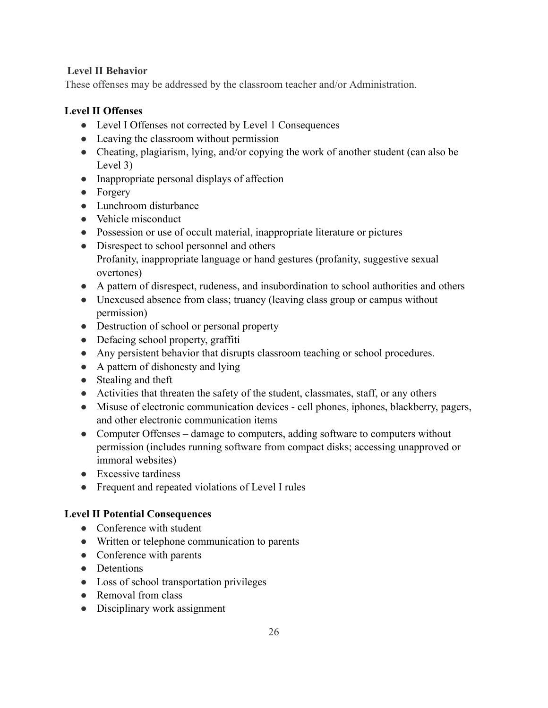## **Level II Behavior**

These offenses may be addressed by the classroom teacher and/or Administration.

# **Level II Offenses**

- Level I Offenses not corrected by Level 1 Consequences
- Leaving the classroom without permission
- Cheating, plagiarism, lying, and/or copying the work of another student (can also be Level  $3)$
- Inappropriate personal displays of affection
- $\bullet$  Forgery
- Lunchroom disturbance
- Vehicle misconduct
- Possession or use of occult material, inappropriate literature or pictures
- Disrespect to school personnel and others Profanity, inappropriate language or hand gestures (profanity, suggestive sexual overtones)
- A pattern of disrespect, rudeness, and insubordination to school authorities and others
- Unexcused absence from class; truancy (leaving class group or campus without permission)
- Destruction of school or personal property
- $\bullet$  Defacing school property, graffiti
- Any persistent behavior that disrupts classroom teaching or school procedures.
- A pattern of dishonesty and lying
- $\bullet$  Stealing and theft
- Activities that threaten the safety of the student, classmates, staff, or any others
- Misuse of electronic communication devices cell phones, iphones, blackberry, pagers, and other electronic communication items
- Computer Offenses damage to computers, adding software to computers without permission (includes running software from compact disks; accessing unapproved or immoral websites)
- $\bullet$  Excessive tardiness
- Frequent and repeated violations of Level I rules

## **Level II Potential Consequences**

- $\bullet$  Conference with student
- Written or telephone communication to parents
- Conference with parents
- Detentions
- Loss of school transportation privileges
- Removal from class
- Disciplinary work assignment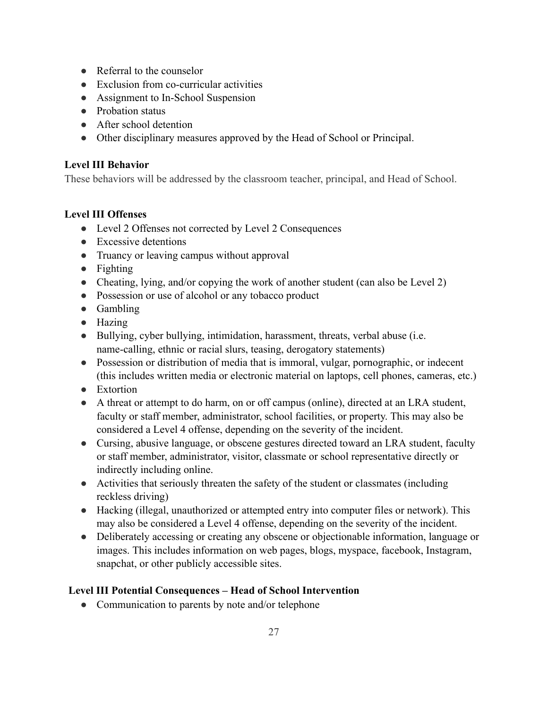- $\bullet$  Referral to the counselor
- Exclusion from co-curricular activities
- Assignment to In-School Suspension
- Probation status
- After school detention
- Other disciplinary measures approved by the Head of School or Principal.

## **Level III Behavior**

These behaviors will be addressed by the classroom teacher, principal, and Head of School.

## **Level III Offenses**

- Level 2 Offenses not corrected by Level 2 Consequences
- Excessive detentions
- Truancy or leaving campus without approval
- Fighting
- Cheating, lying, and/or copying the work of another student (can also be Level 2)
- Possession or use of alcohol or any tobacco product
- $\bullet$  Gambling
- $\bullet$  Hazing
- $\bullet$  Bullying, cyber bullying, intimidation, harassment, threats, verbal abuse (i.e. name-calling, ethnic or racial slurs, teasing, derogatory statements)
- Possession or distribution of media that is immoral, vulgar, pornographic, or indecent (this includes written media or electronic material on laptops, cell phones, cameras, etc.)
- Extortion
- A threat or attempt to do harm, on or off campus (online), directed at an LRA student, faculty or staff member, administrator, school facilities, or property. This may also be considered a Level 4 offense, depending on the severity of the incident.
- Cursing, abusive language, or obscene gestures directed toward an LRA student, faculty or staff member, administrator, visitor, classmate or school representative directly or indirectly including online.
- Activities that seriously threaten the safety of the student or classmates (including reckless driving)
- Hacking (illegal, unauthorized or attempted entry into computer files or network). This may also be considered a Level 4 offense, depending on the severity of the incident.
- Deliberately accessing or creating any obscene or objectionable information, language or images. This includes information on web pages, blogs, myspace, facebook, Instagram, snapchat, or other publicly accessible sites.

## Level III Potential Consequences - Head of School Intervention

• Communication to parents by note and/or telephone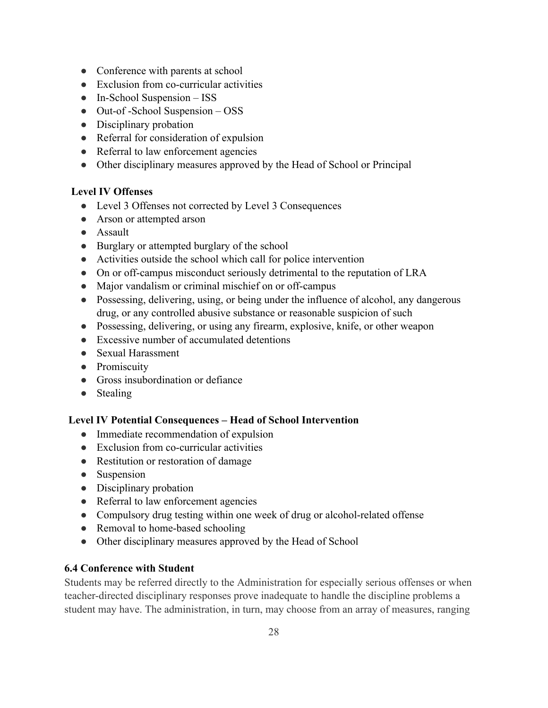- Conference with parents at school
- Exclusion from co-curricular activities
- $\bullet$  In-School Suspension  $-$  ISS
- $\bullet$  Out-of-School Suspension  $-\text{OSS}$
- $\bullet$  Disciplinary probation
- Referral for consideration of expulsion
- Referral to law enforcement agencies
- Other disciplinary measures approved by the Head of School or Principal

## **Level IV Offenses**

- Level 3 Offenses not corrected by Level 3 Consequences
- Arson or attempted arson
- Assault
- Burglary or attempted burglary of the school
- Activities outside the school which call for police intervention
- On or off-campus misconduct seriously detrimental to the reputation of LRA
- Major vandalism or criminal mischief on or off-campus
- Possessing, delivering, using, or being under the influence of alcohol, any dangerous drug, or any controlled abusive substance or reasonable suspicion of such
- Possessing, delivering, or using any firearm, explosive, knife, or other weapon
- Excessive number of accumulated detentions
- Sexual Harassment
- Promiscuity
- Gross insubordination or defiance
- Stealing

# Level IV Potential Consequences - Head of School Intervention

- $\bullet$  Immediate recommendation of expulsion
- Exclusion from co-curricular activities
- Restitution or restoration of damage
- Suspension
- $\bullet$  Disciplinary probation
- Referral to law enforcement agencies
- Compulsory drug testing within one week of drug or alcohol-related offense
- Removal to home-based schooling
- Other disciplinary measures approved by the Head of School

## **6.4 Conference with Student**

Students may be referred directly to the Administration for especially serious offenses or when teacher-directed disciplinary responses prove inadequate to handle the discipline problems a student may have. The administration, in turn, may choose from an array of measures, ranging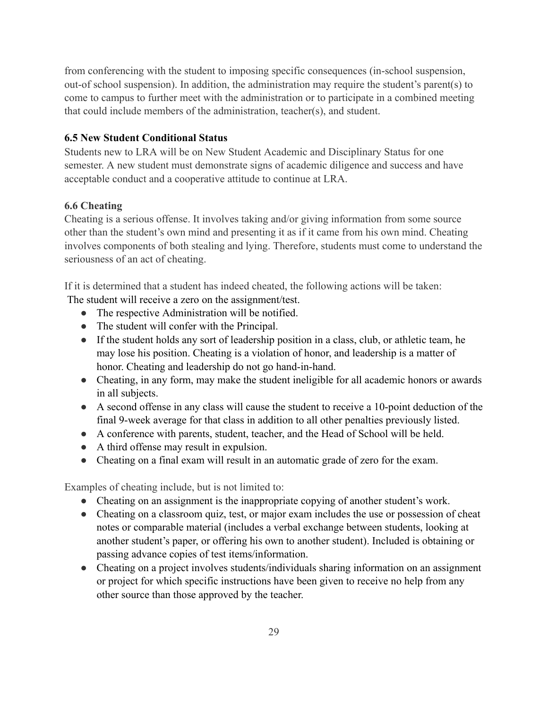from conferencing with the student to imposing specific consequences (in-school suspension, out-of school suspension). In addition, the administration may require the student's parent(s) to come to campus to further meet with the administration or to participate in a combined meeting that could include members of the administration, teacher(s), and student.

### **6.5 New Student Conditional Status**

Students new to LRA will be on New Student Academic and Disciplinary Status for one semester. A new student must demonstrate signs of academic diligence and success and have acceptable conduct and a cooperative attitude to continue at LRA.

### **6.6 Cheating**

Cheating is a serious offense. It involves taking and/or giving information from some source other than the student's own mind and presenting it as if it came from his own mind. Cheating involves components of both stealing and lying. Therefore, students must come to understand the seriousness of an act of cheating.

If it is determined that a student has indeed cheated, the following actions will be taken: The student will receive a zero on the assignment/test.

- The respective Administration will be notified.
- The student will confer with the Principal.
- If the student holds any sort of leadership position in a class, club, or athletic team, he may lose his position. Cheating is a violation of honor, and leadership is a matter of honor. Cheating and leadership do not go hand-in-hand.
- Cheating, in any form, may make the student ineligible for all academic honors or awards in all subjects.
- A second offense in any class will cause the student to receive a 10-point deduction of the final 9-week average for that class in addition to all other penalties previously listed.
- A conference with parents, student, teacher, and the Head of School will be held.
- A third offense may result in expulsion.
- Cheating on a final exam will result in an automatic grade of zero for the exam.

Examples of cheating include, but is not limited to:

- Cheating on an assignment is the inappropriate copying of another student's work.
- Cheating on a classroom quiz, test, or major exam includes the use or possession of cheat notes or comparable material (includes a verbal exchange between students, looking at another student's paper, or offering his own to another student). Included is obtaining or passing advance copies of test items/information.
- Cheating on a project involves students/individuals sharing information on an assignment or project for which specific instructions have been given to receive no help from any other source than those approved by the teacher.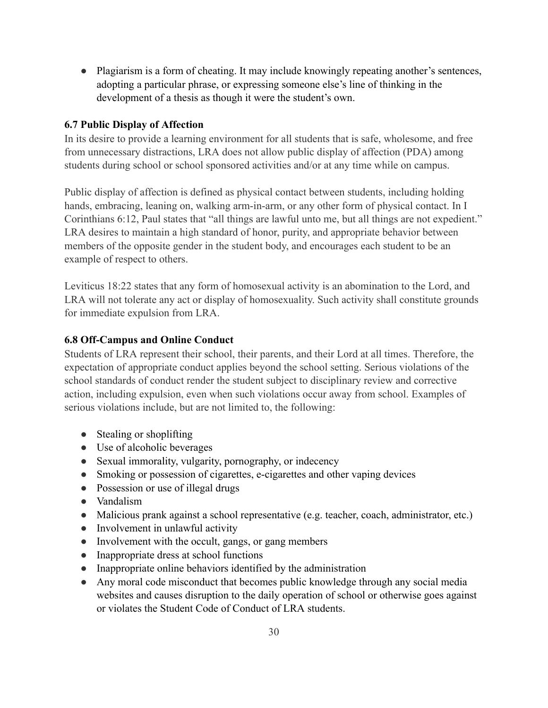• Plagiarism is a form of cheating. It may include knowingly repeating another's sentences, adopting a particular phrase, or expressing someone else's line of thinking in the development of a thesis as though it were the student's own.

### **6.7 Public Display of Affection**

In its desire to provide a learning environment for all students that is safe, wholesome, and free from unnecessary distractions, LRA does not allow public display of affection (PDA) among students during school or school sponsored activities and/or at any time while on campus.

Public display of affection is defined as physical contact between students, including holding hands, embracing, leaning on, walking arm-in-arm, or any other form of physical contact. In I Corinthians 6:12, Paul states that "all things are lawful unto me, but all things are not expedient." LRA desires to maintain a high standard of honor, purity, and appropriate behavior between members of the opposite gender in the student body, and encourages each student to be an example of respect to others.

Leviticus 18:22 states that any form of homosexual activity is an abomination to the Lord, and LRA will not tolerate any act or display of homosexuality. Such activity shall constitute grounds for immediate expulsion from LRA.

## **6.8 Off-Campus and Online Conduct**

Students of LRA represent their school, their parents, and their Lord at all times. Therefore, the expectation of appropriate conduct applies beyond the school setting. Serious violations of the school standards of conduct render the student subject to disciplinary review and corrective action, including expulsion, even when such violations occur away from school. Examples of serious violations include, but are not limited to, the following:

- $\bullet$  Stealing or shoplifting
- Use of alcoholic beverages
- Sexual immorality, vulgarity, pornography, or indecency
- Smoking or possession of cigarettes, e-cigarettes and other vaping devices
- Possession or use of illegal drugs
- Vandalism
- Malicious prank against a school representative (e.g. teacher, coach, administrator, etc.)
- $\bullet$  Involvement in unlawful activity
- Involvement with the occult, gangs, or gang members
- Inappropriate dress at school functions
- Inappropriate online behaviors identified by the administration
- Any moral code misconduct that becomes public knowledge through any social media websites and causes disruption to the daily operation of school or otherwise goes against or violates the Student Code of Conduct of LRA students.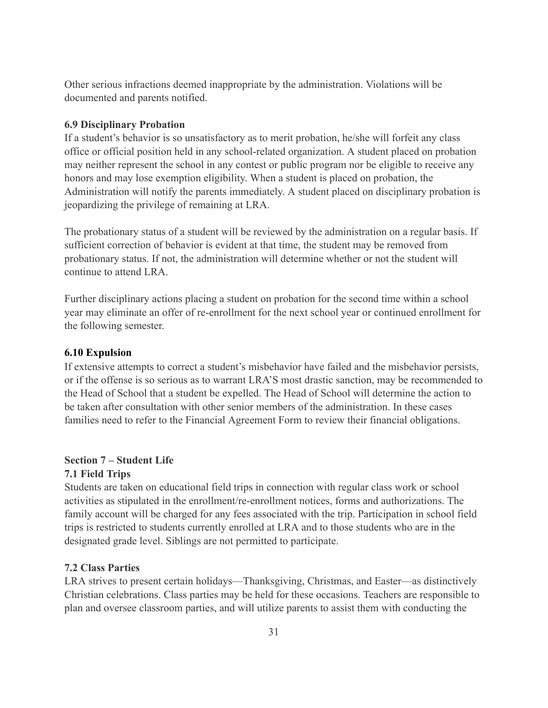Other serious infractions deemed inappropriate by the administration. Violations will be documented and parents notified.

#### **6.9 Disciplinary Probation**

If a student's behavior is so unsatisfactory as to merit probation, he/she will forfeit any class office or official position held in any school-related organization. A student placed on probation may neither represent the school in any contest or public program nor be eligible to receive any honors and may lose exemption eligibility. When a student is placed on probation, the Administration will notify the parents immediately. A student placed on disciplinary probation is jeopardizing the privilege of remaining at LRA.

The probationary status of a student will be reviewed by the administration on a regular basis. If sufficient correction of behavior is evident at that time, the student may be removed from probationary status. If not, the administration will determine whether or not the student will continue to attend LRA

Further disciplinary actions placing a student on probation for the second time within a school year may eliminate an offer of re-enrollment for the next school year or continued enrollment for the following semester.

#### **6.10 Expulsion**

If extensive attempts to correct a student's misbehavior have failed and the misbehavior persists, or if the offense is so serious as to warrant LRA'S most drastic sanction, may be recommended to the Head of School that a student be expelled. The Head of School will determine the action to be taken after consultation with other senior members of the administration. In these cases families need to refer to the Financial Agreement Form to review their financial obligations.

### **Section 7 – Student Life**

### 7.1 Field Trips

Students are taken on educational field trips in connection with regular class work or school activities as stipulated in the enrollment/re-enrollment notices, forms and authorizations. The family account will be charged for any fees associated with the trip. Participation in school field trips is restricted to students currently enrolled at LRA and to those students who are in the designated grade level. Siblings are not permitted to participate.

#### **7.2 Class Parties**

LRA strives to present certain holidays—Thanksgiving, Christmas, and Easter—as distinctively Christian celebrations. Class parties may be held for these occasions. Teachers are responsible to plan and oversee classroom parties, and will utilize parents to assist them with conducting the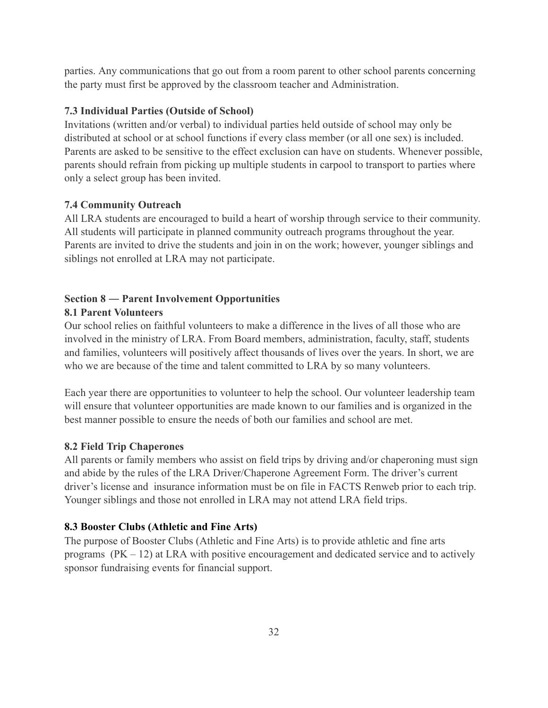parties. Any communications that go out from a room parent to other school parents concerning the party must first be approved by the classroom teacher and Administration.

#### **7.3 Individual Parties (Outside of School)**

Invitations (written and/or verbal) to individual parties held outside of school may only be distributed at school or at school functions if every class member (or all one sex) is included. Parents are asked to be sensitive to the effect exclusion can have on students. Whenever possible, parents should refrain from picking up multiple students in carpool to transport to parties where only a select group has been invited.

#### **7.4 Community Outreach**

All LRA students are encouraged to build a heart of worship through service to their community. All students will participate in planned community outreach programs throughout the year. Parents are invited to drive the students and join in on the work; however, younger siblings and siblings not enrolled at LRA may not participate.

# **Section 8 – Parent Involvement Opportunities**

### **8.1 Parent Volunteers**

Our school relies on faithful volunteers to make a difference in the lives of all those who are involved in the ministry of LRA. From Board members, administration, faculty, staff, students and families, volunteers will positively affect thousands of lives over the years. In short, we are who we are because of the time and talent committed to LRA by so many volunteers.

Each year there are opportunities to volunteer to help the school. Our volunteer leadership team will ensure that volunteer opportunities are made known to our families and is organized in the best manner possible to ensure the needs of both our families and school are met.

### **8.2 Field Trip Chaperones**

All parents or family members who assist on field trips by driving and/or chaperoning must sign and abide by the rules of the LRA Driver/Chaperone Agreement Form. The driver's current driver's license and insurance information must be on file in FACTS Renweb prior to each trip. Younger siblings and those not enrolled in LRA may not attend LRA field trips.

#### 8.3 Booster Clubs (Athletic and Fine Arts)

The purpose of Booster Clubs (Athletic and Fine Arts) is to provide athletic and fine arts programs  $(PK - 12)$  at LRA with positive encouragement and dedicated service and to actively sponsor fundraising events for financial support.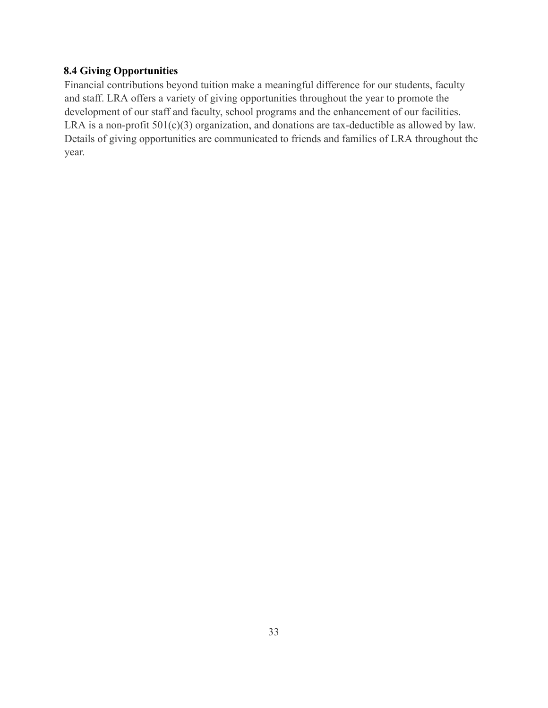## **8.4 Giving Opportunities**

Financial contributions beyond tuition make a meaningful difference for our students, faculty and staff. LRA offers a variety of giving opportunities throughout the year to promote the development of our staff and faculty, school programs and the enhancement of our facilities. LRA is a non-profit  $501(c)(3)$  organization, and donations are tax-deductible as allowed by law. Details of giving opportunities are communicated to friends and families of LRA throughout the year.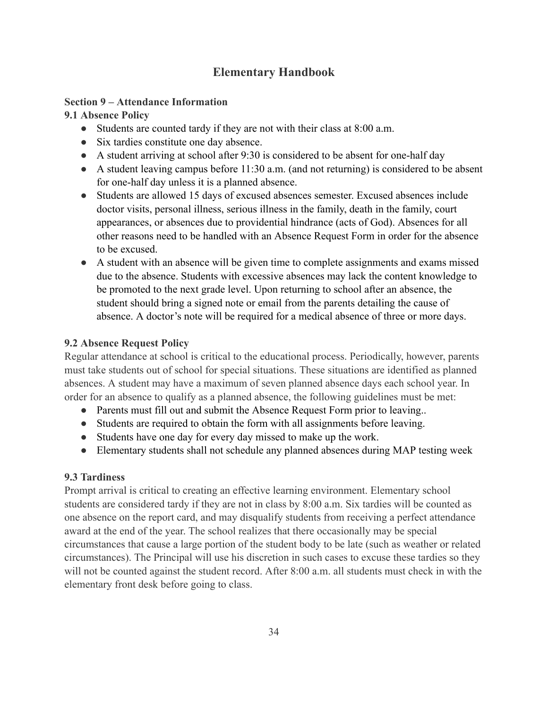# **Elementary Handbook**

### **Section 9 – Attendance Information**

## 9.1 Absence Policy

- Students are counted tardy if they are not with their class at 8:00 a.m.
- Six tardies constitute one day absence.
- A student arriving at school after 9:30 is considered to be absent for one-half day
- A student leaving campus before  $11:30$  a.m. (and not returning) is considered to be absent for one-half day unless it is a planned absence.
- Students are allowed 15 days of excused absences semester. Excused absences include doctor visits, personal illness, serious illness in the family, death in the family, court appearances, or absences due to providential hindrance (acts of God). Absences for all other reasons need to be handled with an Absence Request Form in order for the absence to be excused.
- A student with an absence will be given time to complete assignments and exams missed due to the absence. Students with excessive absences may lack the content knowledge to be promoted to the next grade level. Upon returning to school after an absence, the student should bring a signed note or email from the parents detailing the cause of absence. A doctor's note will be required for a medical absence of three or more days.

## **9.2 Absence Request Policy**

Regular attendance at school is critical to the educational process. Periodically, however, parents must take students out of school for special situations. These situations are identified as planned absences. A student may have a maximum of seven planned absence days each school year. In order for an absence to qualify as a planned absence, the following guidelines must be met:

- Parents must fill out and submit the Absence Request Form prior to leaving...
- Students are required to obtain the form with all assignments before leaving.
- Students have one day for every day missed to make up the work.
- Elementary students shall not schedule any planned absences during MAP testing week

## **9.3 Tardiness**

Prompt arrival is critical to creating an effective learning environment. Elementary school students are considered tardy if they are not in class by 8:00 a.m. Six tardies will be counted as one absence on the report card, and may disqualify students from receiving a perfect attendance award at the end of the year. The school realizes that there occasionally may be special circumstances that cause a large portion of the student body to be late (such as weather or related circumstances). The Principal will use his discretion in such cases to excuse these tardies so they will not be counted against the student record. After 8:00 a.m. all students must check in with the elementary front desk before going to class.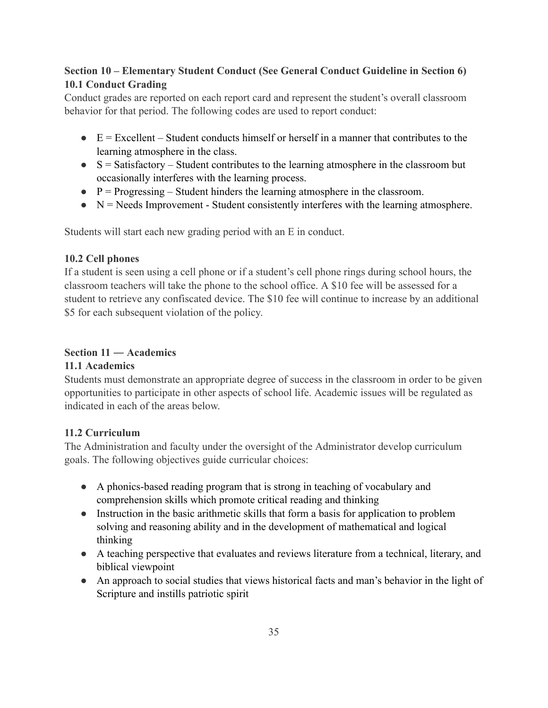# Section 10 – Elementary Student Conduct (See General Conduct Guideline in Section 6) **10.1 Conduct Grading**

Conduct grades are reported on each report card and represent the student's overall classroom behavior for that period. The following codes are used to report conduct:

- $\bullet$  E = Excellent Student conducts himself or herself in a manner that contributes to the learning atmosphere in the class.
- $S = Satisfactory Student contributes to the learning atmosphere in the classroom but$ occasionally interferes with the learning process.
- $P =$ Progressing Student hinders the learning atmosphere in the classroom.
- $\bullet$  N = Needs Improvement Student consistently interferes with the learning atmosphere.

Students will start each new grading period with an E in conduct.

## 10.2 Cell phones

If a student is seen using a cell phone or if a student's cell phone rings during school hours, the classroom teachers will take the phone to the school office. A \$10 fee will be assessed for a student to retrieve any confiscated device. The \$10 fee will continue to increase by an additional \$5 for each subsequent violation of the policy.

### Section  $11 -$ Academics

## 11.1 Academics

Students must demonstrate an appropriate degree of success in the classroom in order to be given opportunities to participate in other aspects of school life. Academic issues will be regulated as indicated in each of the areas below

## 11.2 Curriculum

The Administration and faculty under the oversight of the Administrator develop curriculum goals. The following objectives guide curricular choices:

- A phonics-based reading program that is strong in teaching of vocabulary and comprehension skills which promote critical reading and thinking
- Instruction in the basic arithmetic skills that form a basis for application to problem solving and reasoning ability and in the development of mathematical and logical thinking
- A teaching perspective that evaluates and reviews literature from a technical, literary, and biblical viewpoint
- An approach to social studies that views historical facts and man's behavior in the light of Scripture and instills patriotic spirit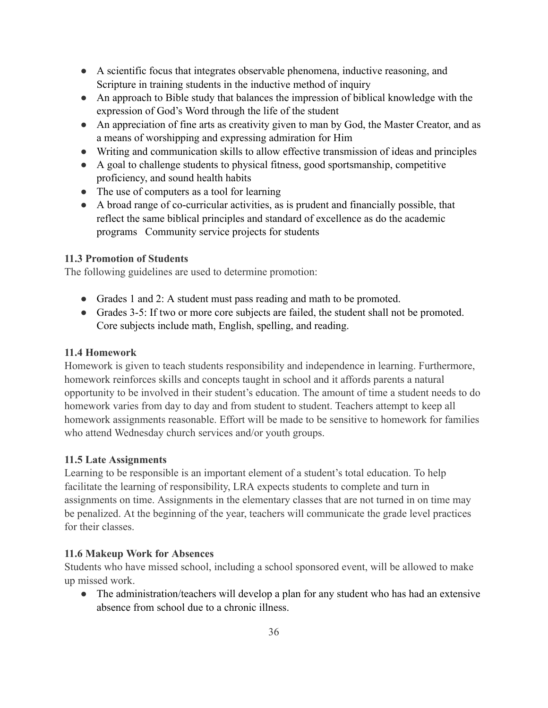- A scientific focus that integrates observable phenomena, inductive reasoning, and Scripture in training students in the inductive method of inquiry
- An approach to Bible study that balances the impression of biblical knowledge with the expression of God's Word through the life of the student
- An appreciation of fine arts as creativity given to man by God, the Master Creator, and as a means of worshipping and expressing admiration for Him
- Writing and communication skills to allow effective transmission of ideas and principles
- A goal to challenge students to physical fitness, good sportsmanship, competitive proficiency, and sound health habits
- The use of computers as a tool for learning
- A broad range of co-curricular activities, as is prudent and financially possible, that reflect the same biblical principles and standard of excellence as do the academic programs Community service projects for students

## **11.3 Promotion of Students**

The following guidelines are used to determine promotion:

- Grades 1 and 2: A student must pass reading and math to be promoted.
- Grades 3-5: If two or more core subjects are failed, the student shall not be promoted. Core subjects include math, English, spelling, and reading.

## 11.4 Homework

Homework is given to teach students responsibility and independence in learning. Furthermore, homework reinforces skills and concepts taught in school and it affords parents a natural opportunity to be involved in their student's education. The amount of time a student needs to do homework varies from day to day and from student to student. Teachers attempt to keep all homework assignments reasonable. Effort will be made to be sensitive to homework for families who attend Wednesday church services and/or youth groups.

## **11.5 Late Assignments**

Learning to be responsible is an important element of a student's total education. To help facilitate the learning of responsibility, LRA expects students to complete and turn in assignments on time. Assignments in the elementary classes that are not turned in on time may be penalized. At the beginning of the year, teachers will communicate the grade level practices for their classes

## 11.6 Makeup Work for Absences

Students who have missed school, including a school sponsored event, will be allowed to make up missed work.

• The administration/teachers will develop a plan for any student who has had an extensive absence from school due to a chronic illness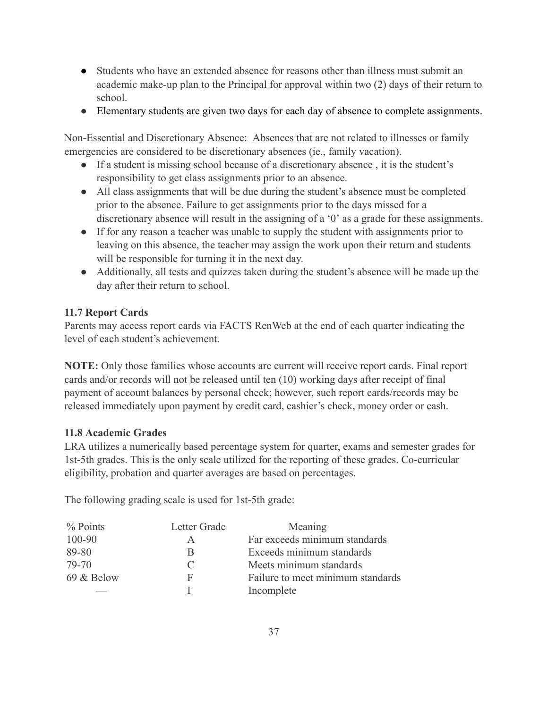- Students who have an extended absence for reasons other than illness must submit an academic make-up plan to the Principal for approval within two (2) days of their return to school.
- Elementary students are given two days for each day of absence to complete assignments.

Non-Essential and Discretionary Absence: Absences that are not related to illnesses or family emergencies are considered to be discretionary absences (ie., family vacation).

- If a student is missing school because of a discretionary absence, it is the student's responsibility to get class assignments prior to an absence.
- All class assignments that will be due during the student's absence must be completed prior to the absence. Failure to get assignments prior to the days missed for a discretionary absence will result in the assigning of a '0' as a grade for these assignments.
- If for any reason a teacher was unable to supply the student with assignments prior to leaving on this absence, the teacher may assign the work upon their return and students will be responsible for turning it in the next day.
- Additionally, all tests and quizzes taken during the student's absence will be made up the day after their return to school.

## **11.7 Report Cards**

Parents may access report cards via FACTS RenWeb at the end of each quarter indicating the level of each student's achievement.

NOTE: Only those families whose accounts are current will receive report cards. Final report cards and/or records will not be released until ten (10) working days after receipt of final payment of account balances by personal check; however, such report cards/records may be released immediately upon payment by credit card, cashier's check, money order or cash.

## 11.8 Academic Grades

LRA utilizes a numerically based percentage system for quarter, exams and semester grades for 1st-5th grades. This is the only scale utilized for the reporting of these grades. Co-curricular eligibility, probation and quarter averages are based on percentages.

The following grading scale is used for 1st-5th grade:

| $%$ Points | Letter Grade  | Meaning                           |
|------------|---------------|-----------------------------------|
| 100-90     | A             | Far exceeds minimum standards     |
| 89-80      |               | Exceeds minimum standards         |
| 79-70      | $\mathcal{C}$ | Meets minimum standards           |
| 69 & Below | F             | Failure to meet minimum standards |
|            |               | Incomplete                        |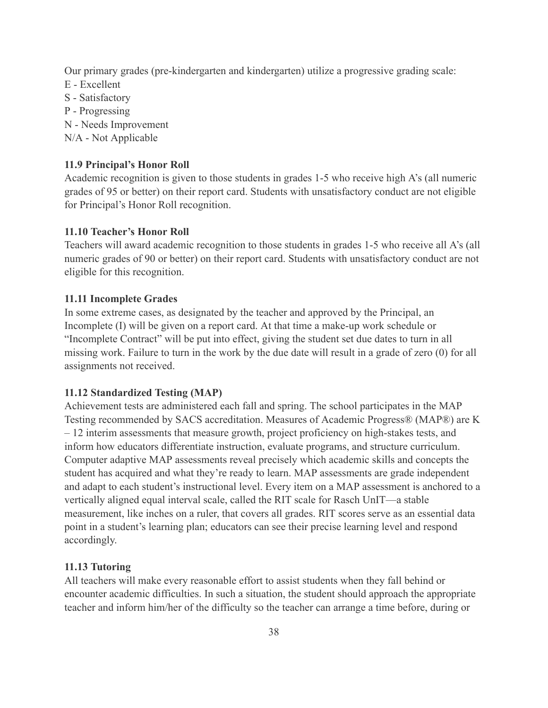Our primary grades (pre-kindergarten and kindergarten) utilize a progressive grading scale:

- E Excellent
- S Satisfactory
- P Progressing
- N Needs Improvement
- N/A Not Applicable

### 11.9 Principal's Honor Roll

Academic recognition is given to those students in grades 1-5 who receive high A's (all numeric grades of 95 or better) on their report card. Students with unsatisfactory conduct are not eligible for Principal's Honor Roll recognition.

### 11.10 Teacher's Honor Roll

Teachers will award academic recognition to those students in grades 1-5 who receive all A's (all numeric grades of 90 or better) on their report card. Students with unsatisfactory conduct are not eligible for this recognition.

### 11.11 Incomplete Grades

In some extreme cases, as designated by the teacher and approved by the Principal, an Incomplete (I) will be given on a report card. At that time a make-up work schedule or "Incomplete Contract" will be put into effect, giving the student set due dates to turn in all missing work. Failure to turn in the work by the due date will result in a grade of zero (0) for all assignments not received.

### 11.12 Standardized Testing (MAP)

Achievement tests are administered each fall and spring. The school participates in the MAP Testing recommended by SACS accreditation. Measures of Academic Progress® (MAP®) are K - 12 interim assessments that measure growth, project proficiency on high-stakes tests, and inform how educators differentiate instruction, evaluate programs, and structure curriculum. Computer adaptive MAP assessments reveal precisely which academic skills and concepts the student has acquired and what they're ready to learn. MAP assessments are grade independent and adapt to each student's instructional level. Every item on a MAP assessment is anchored to a vertically aligned equal interval scale, called the RIT scale for Rasch UnIT—a stable measurement, like inches on a ruler, that covers all grades. RIT scores serve as an essential data point in a student's learning plan; educators can see their precise learning level and respond accordingly.

### 11.13 Tutoring

All teachers will make every reasonable effort to assist students when they fall behind or encounter academic difficulties. In such a situation, the student should approach the appropriate teacher and inform him/her of the difficulty so the teacher can arrange a time before, during or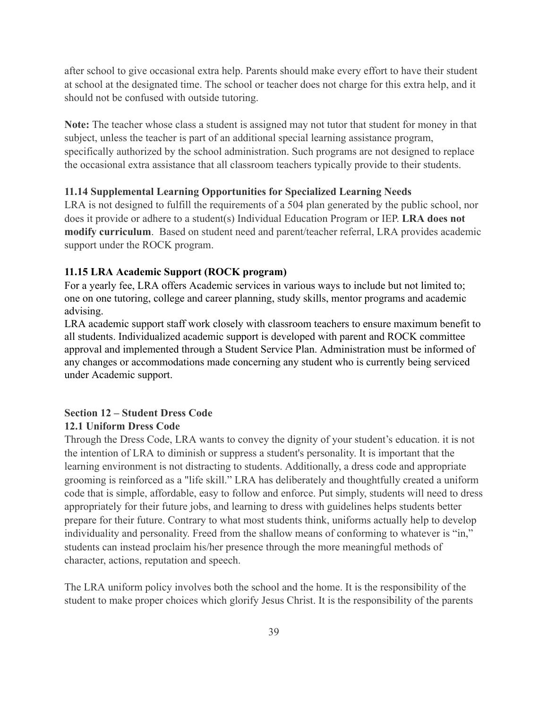after school to give occasional extra help. Parents should make every effort to have their student at school at the designated time. The school or teacher does not charge for this extra help, and it should not be confused with outside tutoring.

Note: The teacher whose class a student is assigned may not tutor that student for money in that subject, unless the teacher is part of an additional special learning assistance program, specifically authorized by the school administration. Such programs are not designed to replace the occasional extra assistance that all classroom teachers typically provide to their students.

#### 11.14 Supplemental Learning Opportunities for Specialized Learning Needs

LRA is not designed to fulfill the requirements of a 504 plan generated by the public school, nor does it provide or adhere to a student(s) Individual Education Program or IEP. LRA does not modify curriculum. Based on student need and parent/teacher referral, LRA provides academic support under the ROCK program.

#### 11.15 LRA Academic Support (ROCK program)

For a yearly fee, LRA offers Academic services in various ways to include but not limited to: one on one tutoring, college and career planning, study skills, mentor programs and academic advising.

LRA academic support staff work closely with classroom teachers to ensure maximum benefit to all students. Individualized academic support is developed with parent and ROCK committee approval and implemented through a Student Service Plan. Administration must be informed of any changes or accommodations made concerning any student who is currently being serviced under Academic support.

## **Section 12 – Student Dress Code 12.1 Uniform Dress Code**

Through the Dress Code, LRA wants to convey the dignity of your student's education. it is not the intention of LRA to diminish or suppress a student's personality. It is important that the learning environment is not distracting to students. Additionally, a dress code and appropriate grooming is reinforced as a "life skill." LRA has deliberately and thoughtfully created a uniform code that is simple, affordable, easy to follow and enforce. Put simply, students will need to dress appropriately for their future jobs, and learning to dress with guidelines helps students better prepare for their future. Contrary to what most students think, uniforms actually help to develop individuality and personality. Freed from the shallow means of conforming to whatever is "in," students can instead proclaim his/her presence through the more meaningful methods of character, actions, reputation and speech.

The LRA uniform policy involves both the school and the home. It is the responsibility of the student to make proper choices which glorify Jesus Christ. It is the responsibility of the parents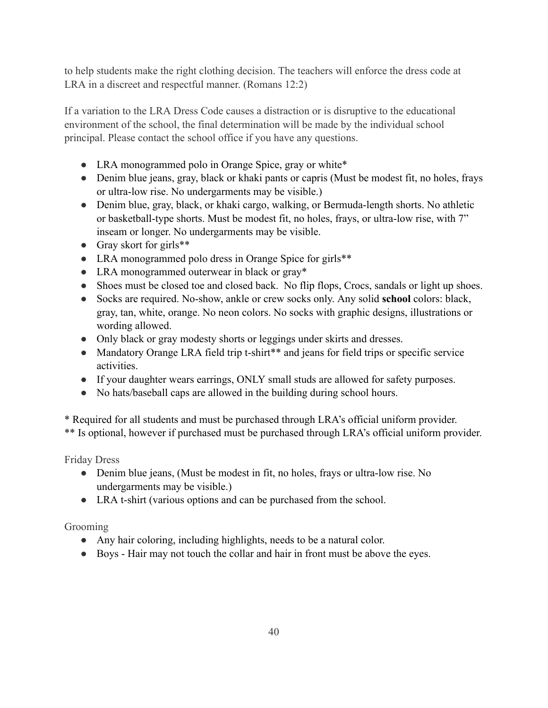to help students make the right clothing decision. The teachers will enforce the dress code at LRA in a discreet and respectful manner. (Romans 12:2)

If a variation to the LRA Dress Code causes a distraction or is disruptive to the educational environment of the school, the final determination will be made by the individual school principal. Please contact the school office if you have any questions.

- LRA monogrammed polo in Orange Spice, gray or white\*
- Denim blue jeans, gray, black or khaki pants or capris (Must be modest fit, no holes, frays or ultra-low rise. No undergarments may be visible.)
- Denim blue, gray, black, or khaki cargo, walking, or Bermuda-length shorts. No athletic or basketball-type shorts. Must be modest fit, no holes, frays, or ultra-low rise, with 7" inseam or longer. No undergarments may be visible.
- Gray skort for girls $**$
- LRA monogrammed polo dress in Orange Spice for girls\*\*
- LRA monogrammed outerwear in black or gray\*
- Shoes must be closed toe and closed back. No flip flops, Crocs, sandals or light up shoes.
- Socks are required. No-show, ankle or crew socks only. Any solid school colors: black, gray, tan, white, orange. No neon colors. No socks with graphic designs, illustrations or wording allowed.
- Only black or gray modesty shorts or leggings under skirts and dresses.
- Mandatory Orange LRA field trip t-shirt\*\* and jeans for field trips or specific service activities.
- If your daughter wears earrings, ONLY small studs are allowed for safety purposes.
- No hats/baseball caps are allowed in the building during school hours.

\* Required for all students and must be purchased through LRA's official uniform provider. \*\* Is optional, however if purchased must be purchased through LRA's official uniform provider.

**Friday Dress** 

- Denim blue jeans, (Must be modest in fit, no holes, frays or ultra-low rise. No undergarments may be visible.)
- LRA t-shirt (various options and can be purchased from the school.

# Grooming

- Any hair coloring, including highlights, needs to be a natural color.
- Boys Hair may not touch the collar and hair in front must be above the eyes.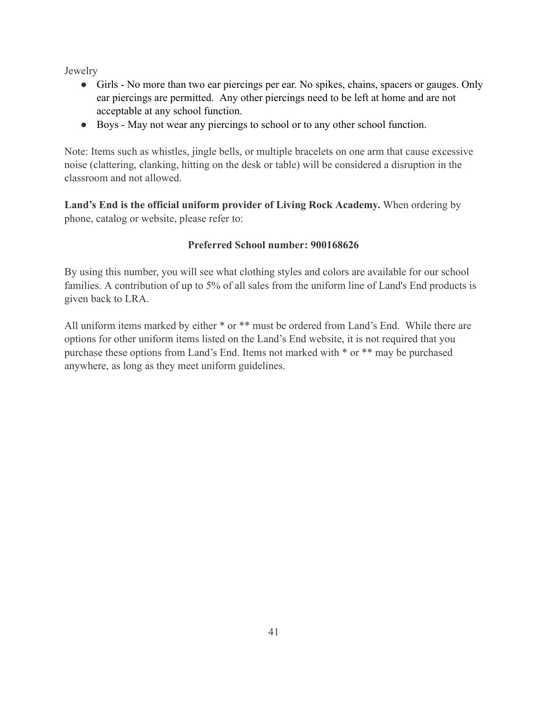Jewelry

- Girls No more than two ear piercings per ear. No spikes, chains, spacers or gauges. Only ear piercings are permitted. Any other piercings need to be left at home and are not acceptable at any school function.
- Boys May not wear any piercings to school or to any other school function.

Note: Items such as whistles, jingle bells, or multiple bracelets on one arm that cause excessive noise (clattering, clanking, hitting on the desk or table) will be considered a disruption in the classroom and not allowed.

Land's End is the official uniform provider of Living Rock Academy. When ordering by phone, catalog or website, please refer to:

## Preferred School number: 900168626

By using this number, you will see what clothing styles and colors are available for our school families. A contribution of up to 5% of all sales from the uniform line of Land's End products is given back to LRA.

All uniform items marked by either \* or \*\* must be ordered from Land's End. While there are options for other uniform items listed on the Land's End website, it is not required that you purchase these options from Land's End. Items not marked with \* or \*\* may be purchased anywhere, as long as they meet uniform guidelines.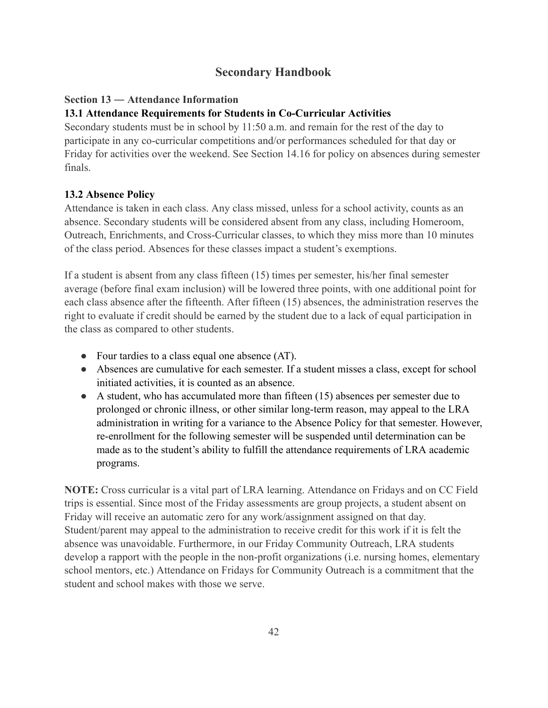# **Secondary Handbook**

## Section 13 – Attendance Information

## 13.1 Attendance Requirements for Students in Co-Curricular Activities

Secondary students must be in school by 11:50 a.m. and remain for the rest of the day to participate in any co-curricular competitions and/or performances scheduled for that day or Friday for activities over the weekend. See Section 14.16 for policy on absences during semester finals

## 13.2 Absence Policy

Attendance is taken in each class. Any class missed, unless for a school activity, counts as an absence. Secondary students will be considered absent from any class, including Homeroom, Outreach, Enrichments, and Cross-Curricular classes, to which they miss more than 10 minutes of the class period. Absences for these classes impact a student's exemptions.

If a student is absent from any class fifteen (15) times per semester, his/her final semester average (before final exam inclusion) will be lowered three points, with one additional point for each class absence after the fifteenth. After fifteen (15) absences, the administration reserves the right to evaluate if credit should be earned by the student due to a lack of equal participation in the class as compared to other students.

- Four tardies to a class equal one absence (AT).
- Absences are cumulative for each semester. If a student misses a class, except for school initiated activities, it is counted as an absence.
- $\bullet$  A student, who has accumulated more than fifteen (15) absences per semester due to prolonged or chronic illness, or other similar long-term reason, may appeal to the LRA administration in writing for a variance to the Absence Policy for that semester. However, re-enrollment for the following semester will be suspended until determination can be made as to the student's ability to fulfill the attendance requirements of LRA academic programs.

NOTE: Cross curricular is a vital part of LRA learning. Attendance on Fridays and on CC Field trips is essential. Since most of the Friday assessments are group projects, a student absent on Friday will receive an automatic zero for any work/assignment assigned on that day. Student/parent may appeal to the administration to receive credit for this work if it is felt the absence was unavoidable. Furthermore, in our Friday Community Outreach, LRA students develop a rapport with the people in the non-profit organizations (*i.e.* nursing homes, elementary school mentors, etc.) Attendance on Fridays for Community Outreach is a commitment that the student and school makes with those we serve.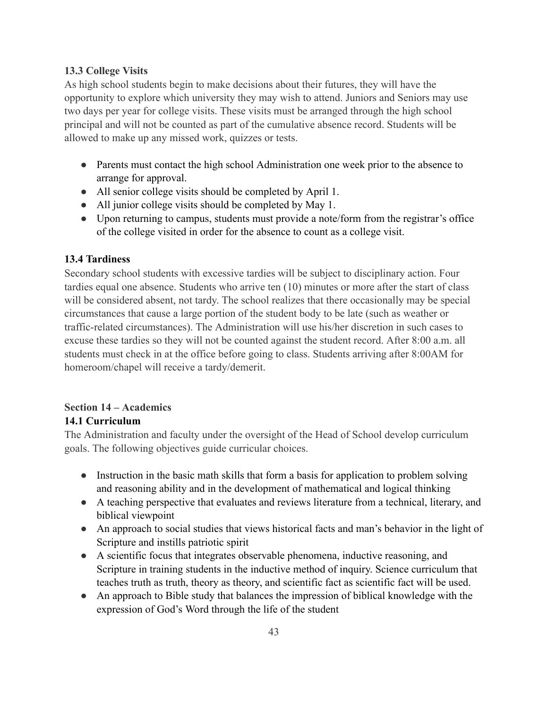### **13.3 College Visits**

As high school students begin to make decisions about their futures, they will have the opportunity to explore which university they may wish to attend. Juniors and Seniors may use two days per year for college visits. These visits must be arranged through the high school principal and will not be counted as part of the cumulative absence record. Students will be allowed to make up any missed work, quizzes or tests.

- Parents must contact the high school Administration one week prior to the absence to arrange for approval.
- All senior college visits should be completed by April 1.
- All junior college visits should be completed by May 1.
- Upon returning to campus, students must provide a note/form from the registrar's office of the college visited in order for the absence to count as a college visit.

## **13.4 Tardiness**

Secondary school students with excessive tardies will be subject to disciplinary action. Four tardies equal one absence. Students who arrive ten (10) minutes or more after the start of class will be considered absent, not tardy. The school realizes that there occasionally may be special circumstances that cause a large portion of the student body to be late (such as weather or traffic-related circumstances). The Administration will use his/her discretion in such cases to excuse these tardies so they will not be counted against the student record. After 8:00 a.m. all students must check in at the office before going to class. Students arriving after 8:00AM for homeroom/chapel will receive a tardy/demerit.

### **Section 14 – Academics** 14.1 Curriculum

The Administration and faculty under the oversight of the Head of School develop curriculum goals. The following objectives guide curricular choices.

- Instruction in the basic math skills that form a basis for application to problem solving and reasoning ability and in the development of mathematical and logical thinking
- A teaching perspective that evaluates and reviews literature from a technical, literary, and biblical viewpoint
- An approach to social studies that views historical facts and man's behavior in the light of Scripture and instills patriotic spirit
- A scientific focus that integrates observable phenomena, inductive reasoning, and Scripture in training students in the inductive method of inquiry. Science curriculum that teaches truth as truth, theory as theory, and scientific fact as scientific fact will be used.
- An approach to Bible study that balances the impression of biblical knowledge with the expression of God's Word through the life of the student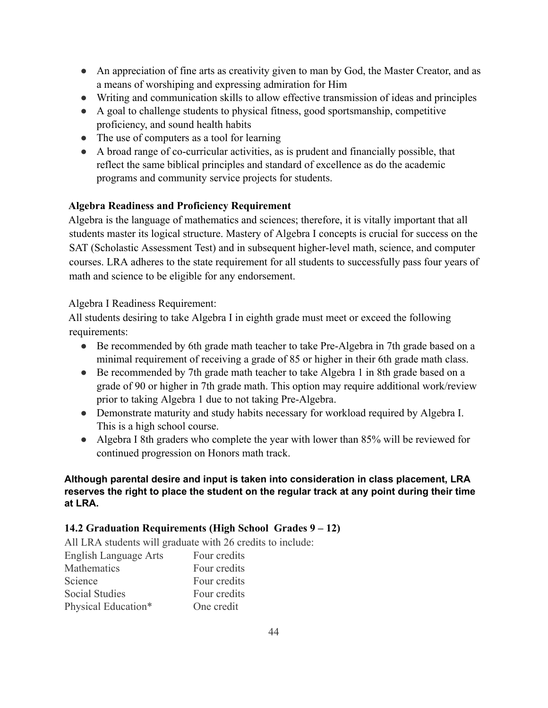- An appreciation of fine arts as creativity given to man by God, the Master Creator, and as a means of worshiping and expressing admiration for Him
- Writing and communication skills to allow effective transmission of ideas and principles
- A goal to challenge students to physical fitness, good sportsmanship, competitive proficiency, and sound health habits
- $\bullet$  The use of computers as a tool for learning
- A broad range of co-curricular activities, as is prudent and financially possible, that reflect the same biblical principles and standard of excellence as do the academic programs and community service projects for students.

## **Algebra Readiness and Proficiency Requirement**

Algebra is the language of mathematics and sciences; therefore, it is vitally important that all students master its logical structure. Mastery of Algebra I concepts is crucial for success on the SAT (Scholastic Assessment Test) and in subsequent higher-level math, science, and computer courses. LRA adheres to the state requirement for all students to successfully pass four years of math and science to be eligible for any endorsement.

## Algebra I Readiness Requirement:

All students desiring to take Algebra I in eighth grade must meet or exceed the following requirements:

- Be recommended by 6th grade math teacher to take Pre-Algebra in 7th grade based on a minimal requirement of receiving a grade of 85 or higher in their 6th grade math class.
- Be recommended by 7th grade math teacher to take Algebra 1 in 8th grade based on a grade of 90 or higher in 7th grade math. This option may require additional work/review prior to taking Algebra 1 due to not taking Pre-Algebra.
- Demonstrate maturity and study habits necessary for workload required by Algebra I. This is a high school course.
- Algebra I 8th graders who complete the year with lower than 85% will be reviewed for continued progression on Honors math track.

### Although parental desire and input is taken into consideration in class placement, LRA reserves the right to place the student on the regular track at any point during their time at LRA.

## 14.2 Graduation Requirements (High School Grades 9 – 12)

All LRA students will graduate with 26 credits to include: **English Language Arts** Four credits **Mathematics** Four credits Science Four credits **Social Studies** Four credits Physical Education\* One credit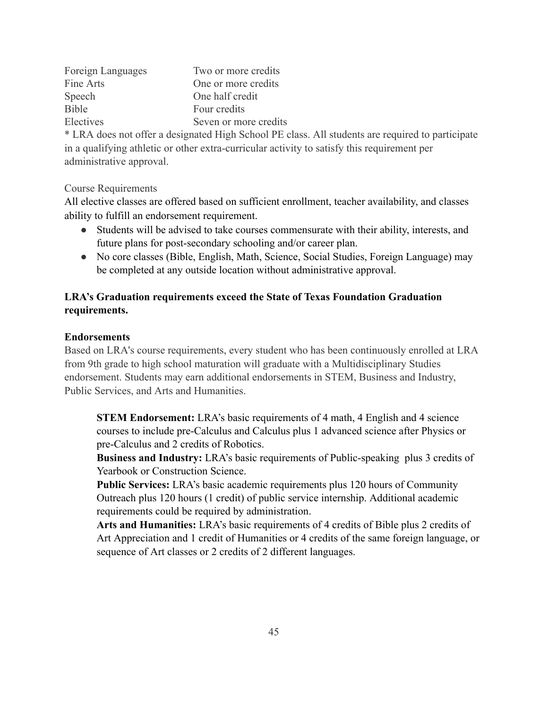| Foreign Languages | Two or more credits   |
|-------------------|-----------------------|
| Fine Arts         | One or more credits   |
| Speech            | One half credit       |
| <b>Bible</b>      | Four credits          |
| Electives         | Seven or more credits |
|                   |                       |

\* LRA does not offer a designated High School PE class. All students are required to participate in a qualifying athletic or other extra-curricular activity to satisfy this requirement per administrative approval.

**Course Requirements** 

All elective classes are offered based on sufficient enrollment, teacher availability, and classes ability to fulfill an endorsement requirement.

- Students will be advised to take courses commensurate with their ability, interests, and future plans for post-secondary schooling and/or career plan.
- No core classes (Bible, English, Math, Science, Social Studies, Foreign Language) may be completed at any outside location without administrative approval.

# LRA's Graduation requirements exceed the State of Texas Foundation Graduation requirements.

## **Endorsements**

Based on LRA's course requirements, every student who has been continuously enrolled at LRA from 9th grade to high school maturation will graduate with a Multidisciplinary Studies endorsement. Students may earn additional endorsements in STEM, Business and Industry, Public Services, and Arts and Humanities.

**STEM Endorsement:** LRA's basic requirements of 4 math, 4 English and 4 science courses to include pre-Calculus and Calculus plus 1 advanced science after Physics or pre-Calculus and 2 credits of Robotics.

**Business and Industry:** LRA's basic requirements of Public-speaking plus 3 credits of **Yearbook or Construction Science.** 

**Public Services:** LRA's basic academic requirements plus 120 hours of Community Outreach plus 120 hours (1 credit) of public service internship. Additional academic requirements could be required by administration.

Arts and Humanities: LRA's basic requirements of 4 credits of Bible plus 2 credits of Art Appreciation and 1 credit of Humanities or 4 credits of the same foreign language, or sequence of Art classes or 2 credits of 2 different languages.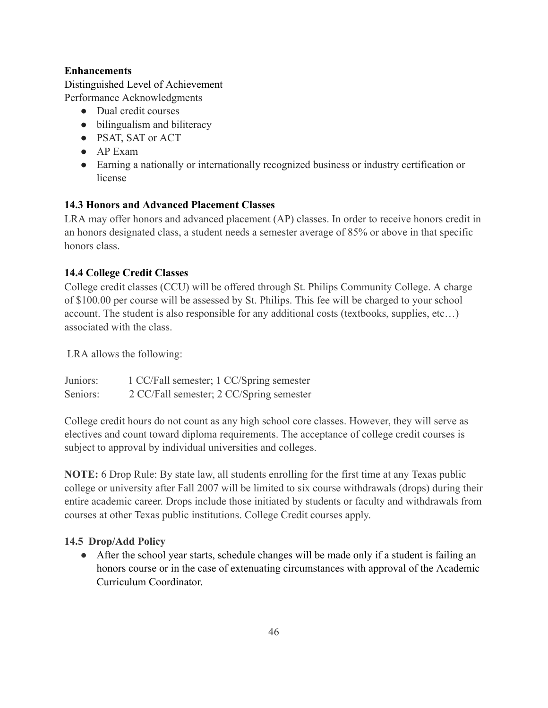## **Enhancements**

Distinguished Level of Achievement Performance Acknowledgments

- Dual credit courses
- bilingualism and biliteracy
- PSAT, SAT or ACT
- $\bullet$  AP Exam
- Earning a nationally or internationally recognized business or industry certification or license

## 14.3 Honors and Advanced Placement Classes

LRA may offer honors and advanced placement (AP) classes. In order to receive honors credit in an honors designated class, a student needs a semester average of 85% or above in that specific honors class

## **14.4 College Credit Classes**

College credit classes (CCU) will be offered through St. Philips Community College. A charge of \$100.00 per course will be assessed by St. Philips. This fee will be charged to your school account. The student is also responsible for any additional costs (textbooks, supplies, etc...) associated with the class.

LRA allows the following:

Juniors<sup>-</sup> 1 CC/Fall semester; 1 CC/Spring semester Seniors: 2 CC/Fall semester; 2 CC/Spring semester

College credit hours do not count as any high school core classes. However, they will serve as electives and count toward diploma requirements. The acceptance of college credit courses is subject to approval by individual universities and colleges.

**NOTE:** 6 Drop Rule: By state law, all students enrolling for the first time at any Texas public college or university after Fall 2007 will be limited to six course withdrawals (drops) during their entire academic career. Drops include those initiated by students or faculty and withdrawals from courses at other Texas public institutions. College Credit courses apply.

## 14.5 Drop/Add Policy

• After the school year starts, schedule changes will be made only if a student is failing an honors course or in the case of extenuating circumstances with approval of the Academic Curriculum Coordinator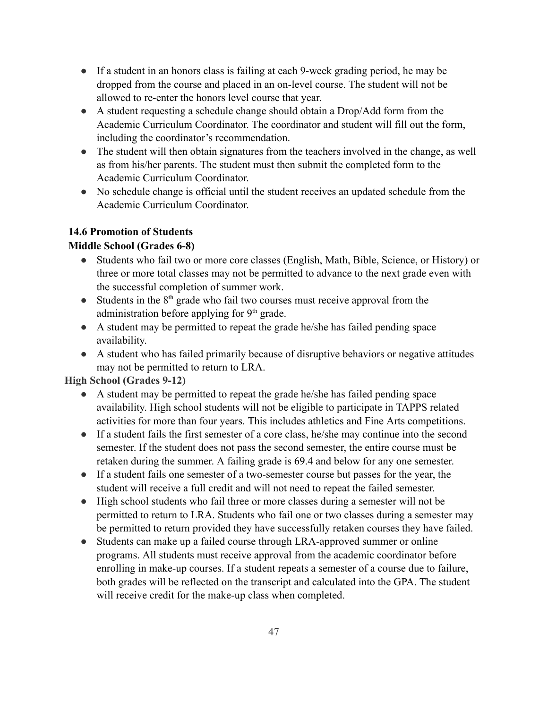- If a student in an honors class is failing at each 9-week grading period, he may be dropped from the course and placed in an on-level course. The student will not be allowed to re-enter the honors level course that year.
- A student requesting a schedule change should obtain a Drop/Add form from the Academic Curriculum Coordinator. The coordinator and student will fill out the form, including the coordinator's recommendation.
- The student will then obtain signatures from the teachers involved in the change, as well as from his/her parents. The student must then submit the completed form to the Academic Curriculum Coordinator.
- No schedule change is official until the student receives an updated schedule from the Academic Curriculum Coordinator.

# **14.6 Promotion of Students**

## **Middle School (Grades 6-8)**

- Students who fail two or more core classes (English, Math, Bible, Science, or History) or three or more total classes may not be permitted to advance to the next grade even with the successful completion of summer work.
- Students in the  $8<sup>th</sup>$  grade who fail two courses must receive approval from the administration before applying for 9<sup>th</sup> grade.
- A student may be permitted to repeat the grade he/she has failed pending space availability.
- A student who has failed primarily because of disruptive behaviors or negative attitudes may not be permitted to return to LRA.

**High School (Grades 9-12)** 

- A student may be permitted to repeat the grade he/she has failed pending space availability. High school students will not be eligible to participate in TAPPS related activities for more than four years. This includes athletics and Fine Arts competitions.
- If a student fails the first semester of a core class, he/she may continue into the second semester. If the student does not pass the second semester, the entire course must be retaken during the summer. A failing grade is 69.4 and below for any one semester.
- If a student fails one semester of a two-semester course but passes for the year, the student will receive a full credit and will not need to repeat the failed semester.
- High school students who fail three or more classes during a semester will not be permitted to return to LRA. Students who fail one or two classes during a semester may be permitted to return provided they have successfully retaken courses they have failed.
- Students can make up a failed course through LRA-approved summer or online programs. All students must receive approval from the academic coordinator before enrolling in make-up courses. If a student repeats a semester of a course due to failure, both grades will be reflected on the transcript and calculated into the GPA. The student will receive credit for the make-up class when completed.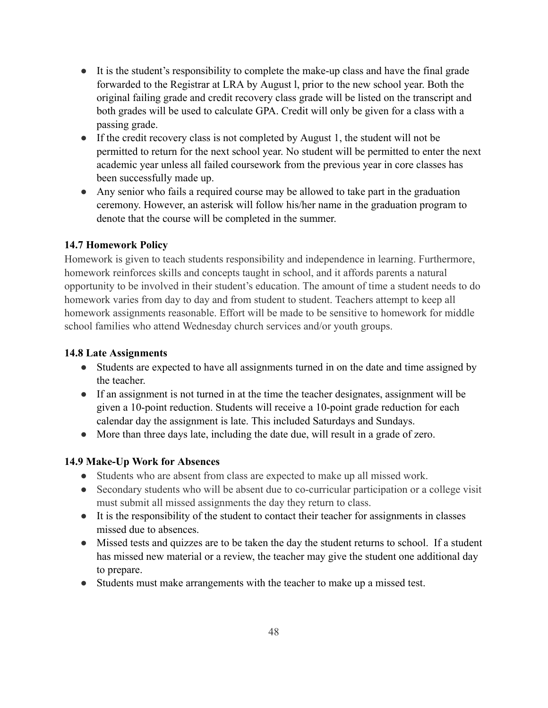- It is the student's responsibility to complete the make-up class and have the final grade forwarded to the Registrar at LRA by August 1, prior to the new school year. Both the original failing grade and credit recovery class grade will be listed on the transcript and both grades will be used to calculate GPA. Credit will only be given for a class with a passing grade.
- If the credit recovery class is not completed by August 1, the student will not be permitted to return for the next school year. No student will be permitted to enter the next academic year unless all failed coursework from the previous year in core classes has been successfully made up.
- Any senior who fails a required course may be allowed to take part in the graduation ceremony. However, an asterisk will follow his/her name in the graduation program to denote that the course will be completed in the summer.

## **14.7 Homework Policy**

Homework is given to teach students responsibility and independence in learning. Furthermore, homework reinforces skills and concepts taught in school, and it affords parents a natural opportunity to be involved in their student's education. The amount of time a student needs to do homework varies from day to day and from student to student. Teachers attempt to keep all homework assignments reasonable. Effort will be made to be sensitive to homework for middle school families who attend Wednesday church services and/or youth groups.

## **14.8 Late Assignments**

- Students are expected to have all assignments turned in on the date and time assigned by the teacher
- If an assignment is not turned in at the time the teacher designates, assignment will be given a 10-point reduction. Students will receive a 10-point grade reduction for each calendar day the assignment is late. This included Saturdays and Sundays.
- More than three days late, including the date due, will result in a grade of zero.

# 14.9 Make-Up Work for Absences

- Students who are absent from class are expected to make up all missed work.
- Secondary students who will be absent due to co-curricular participation or a college visit must submit all missed assignments the day they return to class.
- It is the responsibility of the student to contact their teacher for assignments in classes missed due to absences.
- Missed tests and quizzes are to be taken the day the student returns to school. If a student has missed new material or a review, the teacher may give the student one additional day to prepare.
- Students must make arrangements with the teacher to make up a missed test.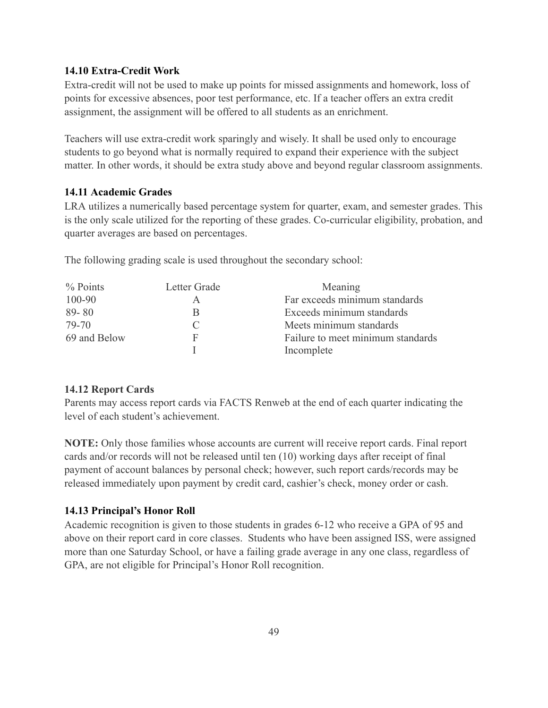#### 14.10 Extra-Credit Work

Extra-credit will not be used to make up points for missed assignments and homework, loss of points for excessive absences, poor test performance, etc. If a teacher offers an extra credit assignment, the assignment will be offered to all students as an enrichment.

Teachers will use extra-credit work sparingly and wisely. It shall be used only to encourage students to go beyond what is normally required to expand their experience with the subject matter. In other words, it should be extra study above and beyond regular classroom assignments.

#### 14.11 Academic Grades

LRA utilizes a numerically based percentage system for quarter, exam, and semester grades. This is the only scale utilized for the reporting of these grades. Co-curricular eligibility, probation, and quarter averages are based on percentages.

The following grading scale is used throughout the secondary school:

| $%$ Points   | Letter Grade | Meaning                           |
|--------------|--------------|-----------------------------------|
| 100-90       |              | Far exceeds minimum standards     |
| $89 - 80$    | B            | Exceeds minimum standards         |
| 79-70        | C            | Meets minimum standards           |
| 69 and Below | F            | Failure to meet minimum standards |
|              |              | Incomplete                        |

#### **14.12 Report Cards**

Parents may access report cards via FACTS Renweb at the end of each quarter indicating the level of each student's achievement.

**NOTE:** Only those families whose accounts are current will receive report cards. Final report cards and/or records will not be released until ten (10) working days after receipt of final payment of account balances by personal check; however, such report cards/records may be released immediately upon payment by credit card, cashier's check, money order or cash.

### 14.13 Principal's Honor Roll

Academic recognition is given to those students in grades 6-12 who receive a GPA of 95 and above on their report card in core classes. Students who have been assigned ISS, were assigned more than one Saturday School, or have a failing grade average in any one class, regardless of GPA, are not eligible for Principal's Honor Roll recognition.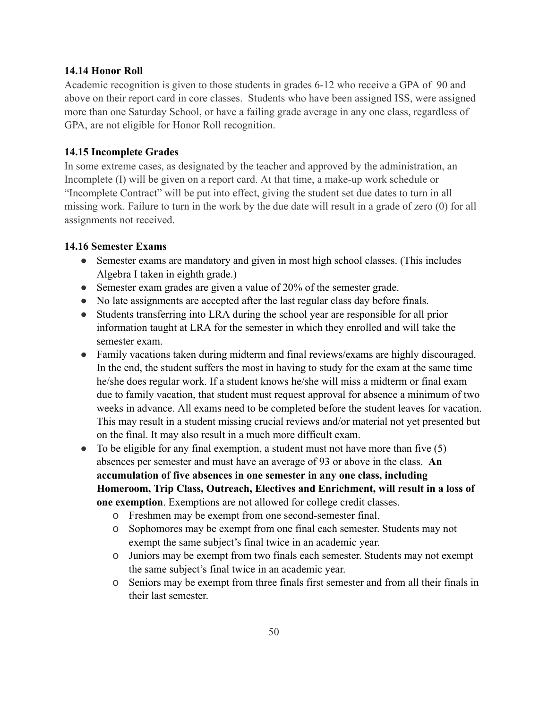#### 14.14 Honor Roll

Academic recognition is given to those students in grades 6-12 who receive a GPA of 90 and above on their report card in core classes. Students who have been assigned ISS, were assigned more than one Saturday School, or have a failing grade average in any one class, regardless of GPA, are not eligible for Honor Roll recognition.

#### **14.15 Incomplete Grades**

In some extreme cases, as designated by the teacher and approved by the administration, an Incomplete (I) will be given on a report card. At that time, a make-up work schedule or "Incomplete Contract" will be put into effect, giving the student set due dates to turn in all missing work. Failure to turn in the work by the due date will result in a grade of zero (0) for all assignments not received.

#### 14.16 Semester Exams

- Semester exams are mandatory and given in most high school classes. (This includes Algebra I taken in eighth grade.)
- Semester exam grades are given a value of  $20\%$  of the semester grade.
- No late assignments are accepted after the last regular class day before finals.
- Students transferring into LRA during the school year are responsible for all prior information taught at LRA for the semester in which they enrolled and will take the semester exam
- Family vacations taken during midterm and final reviews/exams are highly discouraged. In the end, the student suffers the most in having to study for the exam at the same time he/she does regular work. If a student knows he/she will miss a midterm or final exam due to family vacation, that student must request approval for absence a minimum of two weeks in advance. All exams need to be completed before the student leaves for vacation. This may result in a student missing crucial reviews and/or material not yet presented but on the final. It may also result in a much more difficult exam.
- To be eligible for any final exemption, a student must not have more than five  $(5)$ absences per semester and must have an average of 93 or above in the class. An accumulation of five absences in one semester in any one class, including Homeroom, Trip Class, Outreach, Electives and Enrichment, will result in a loss of one exemption. Exemptions are not allowed for college credit classes.
	- o Freshmen may be exempt from one second-semester final.
	- o Sophomores may be exempt from one final each semester. Students may not exempt the same subject's final twice in an academic year.
	- o Juniors may be exempt from two finals each semester. Students may not exempt the same subject's final twice in an academic year.
	- o Seniors may be exempt from three finals first semester and from all their finals in their last semester.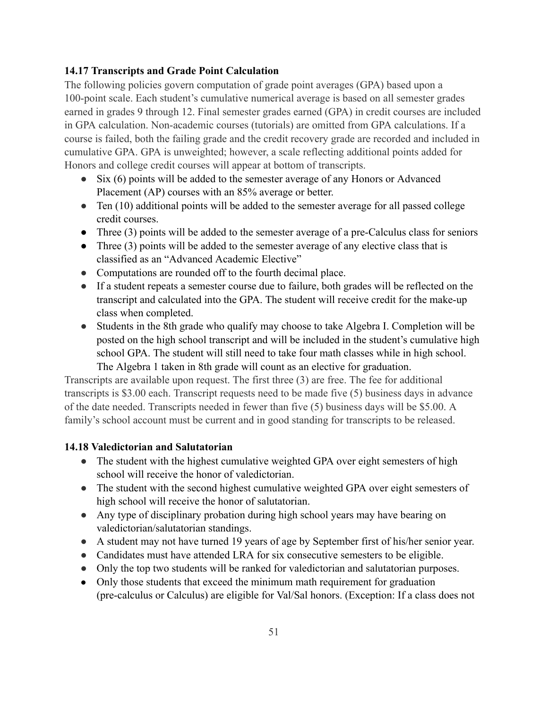## 14.17 Transcripts and Grade Point Calculation

The following policies govern computation of grade point averages (GPA) based upon a 100-point scale. Each student's cumulative numerical average is based on all semester grades earned in grades 9 through 12. Final semester grades earned (GPA) in credit courses are included in GPA calculation. Non-academic courses (tutorials) are omitted from GPA calculations. If a course is failed, both the failing grade and the credit recovery grade are recorded and included in cumulative GPA. GPA is unweighted; however, a scale reflecting additional points added for Honors and college credit courses will appear at bottom of transcripts.

- Six  $(6)$  points will be added to the semester average of any Honors or Advanced Placement (AP) courses with an 85% average or better.
- Ten  $(10)$  additional points will be added to the semester average for all passed college credit courses.
- Three  $(3)$  points will be added to the semester average of a pre-Calculus class for seniors
- Three  $(3)$  points will be added to the semester average of any elective class that is classified as an "Advanced Academic Elective"
- Computations are rounded off to the fourth decimal place.
- If a student repeats a semester course due to failure, both grades will be reflected on the transcript and calculated into the GPA. The student will receive credit for the make-up class when completed.
- Students in the 8th grade who qualify may choose to take Algebra I. Completion will be posted on the high school transcript and will be included in the student's cumulative high school GPA. The student will still need to take four math classes while in high school. The Algebra 1 taken in 8th grade will count as an elective for graduation.

Transcripts are available upon request. The first three (3) are free. The fee for additional transcripts is \$3.00 each. Transcript requests need to be made five (5) business days in advance of the date needed. Transcripts needed in fewer than five (5) business days will be \$5.00. A family's school account must be current and in good standing for transcripts to be released.

## 14.18 Valedictorian and Salutatorian

- The student with the highest cumulative weighted GPA over eight semesters of high school will receive the honor of valedictorian.
- The student with the second highest cumulative weighted GPA over eight semesters of high school will receive the honor of salutatorian.
- Any type of disciplinary probation during high school years may have bearing on valedictorian/salutatorian standings.
- A student may not have turned 19 years of age by September first of his/her senior year.
- Candidates must have attended LRA for six consecutive semesters to be eligible.
- Only the top two students will be ranked for valedictorian and salutatorian purposes.
- Only those students that exceed the minimum math requirement for graduation (pre-calculus or Calculus) are eligible for Val/Sal honors. (Exception: If a class does not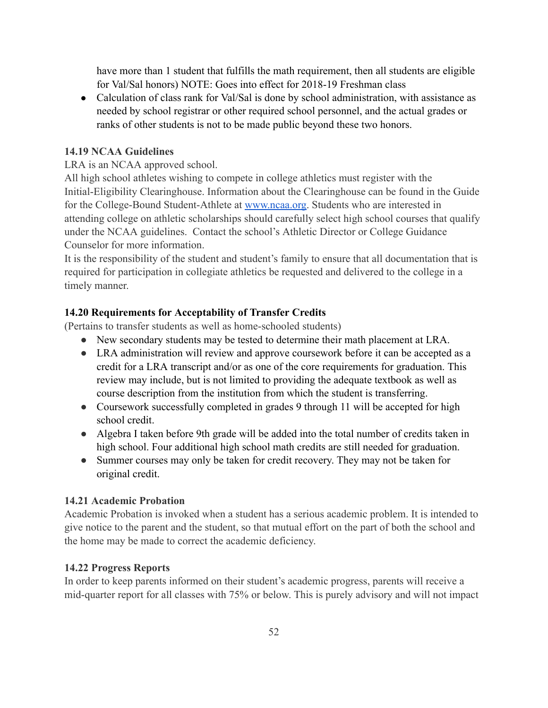have more than 1 student that fulfills the math requirement, then all students are eligible for Val/Sal honors) NOTE: Goes into effect for 2018-19 Freshman class

• Calculation of class rank for Val/Sal is done by school administration, with assistance as needed by school registrar or other required school personnel, and the actual grades or ranks of other students is not to be made public beyond these two honors.

## **14.19 NCAA Guidelines**

LRA is an NCAA approved school.

All high school athletes wishing to compete in college athletics must register with the Initial-Eligibility Clearinghouse. Information about the Clearinghouse can be found in the Guide for the College-Bound Student-Athlete at www.ncaa.org. Students who are interested in attending college on athletic scholarships should carefully select high school courses that qualify under the NCAA guidelines. Contact the school's Athletic Director or College Guidance Counselor for more information.

It is the responsibility of the student and student's family to ensure that all documentation that is required for participation in collegiate athletics be requested and delivered to the college in a timely manner.

## 14.20 Requirements for Acceptability of Transfer Credits

(Pertains to transfer students as well as home-schooled students)

- New secondary students may be tested to determine their math placement at LRA.
- LRA administration will review and approve coursework before it can be accepted as a credit for a LRA transcript and/or as one of the core requirements for graduation. This review may include, but is not limited to providing the adequate textbook as well as course description from the institution from which the student is transferring.
- Coursework successfully completed in grades 9 through 11 will be accepted for high school credit
- Algebra I taken before 9th grade will be added into the total number of credits taken in high school. Four additional high school math credits are still needed for graduation.
- Summer courses may only be taken for credit recovery. They may not be taken for original credit.

## **14.21 Academic Probation**

Academic Probation is invoked when a student has a serious academic problem. It is intended to give notice to the parent and the student, so that mutual effort on the part of both the school and the home may be made to correct the academic deficiency.

# **14.22 Progress Reports**

In order to keep parents informed on their student's academic progress, parents will receive a mid-quarter report for all classes with 75% or below. This is purely advisory and will not impact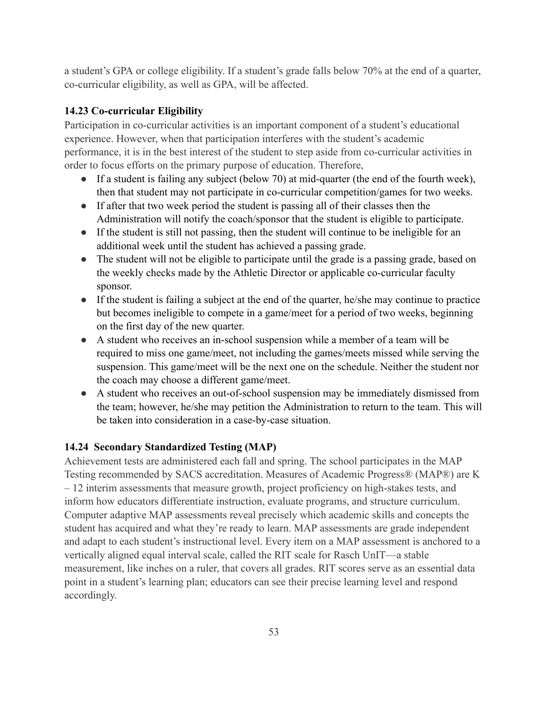a student's GPA or college eligibility. If a student's grade falls below 70% at the end of a quarter, co-curricular eligibility, as well as GPA, will be affected.

### 14.23 Co-curricular Eligibility

Participation in co-curricular activities is an important component of a student's educational experience. However, when that participation interferes with the student's academic performance, it is in the best interest of the student to step aside from co-curricular activities in order to focus efforts on the primary purpose of education. Therefore,

- If a student is failing any subject (below 70) at mid-quarter (the end of the fourth week), then that student may not participate in co-curricular competition/games for two weeks.
- If after that two week period the student is passing all of their classes then the Administration will notify the coach/sponsor that the student is eligible to participate.
- If the student is still not passing, then the student will continue to be ineligible for an additional week until the student has achieved a passing grade.
- The student will not be eligible to participate until the grade is a passing grade, based on the weekly checks made by the Athletic Director or applicable co-curricular faculty sponsor.
- If the student is failing a subject at the end of the quarter, he/she may continue to practice but becomes ineligible to compete in a game/meet for a period of two weeks, beginning on the first day of the new quarter.
- A student who receives an in-school suspension while a member of a team will be required to miss one game/meet, not including the games/meets missed while serving the suspension. This game/meet will be the next one on the schedule. Neither the student nor the coach may choose a different game/meet.
- A student who receives an out-of-school suspension may be immediately dismissed from the team; however, he/she may petition the Administration to return to the team. This will be taken into consideration in a case-by-case situation.

## 14.24 Secondary Standardized Testing (MAP)

Achievement tests are administered each fall and spring. The school participates in the MAP Testing recommended by SACS accreditation. Measures of Academic Progress® (MAP®) are K - 12 interim assessments that measure growth, project proficiency on high-stakes tests, and inform how educators differentiate instruction, evaluate programs, and structure curriculum. Computer adaptive MAP assessments reveal precisely which academic skills and concepts the student has acquired and what they're ready to learn. MAP assessments are grade independent and adapt to each student's instructional level. Every item on a MAP assessment is anchored to a vertically aligned equal interval scale, called the RIT scale for Rasch UnIT—a stable measurement, like inches on a ruler, that covers all grades. RIT scores serve as an essential data point in a student's learning plan; educators can see their precise learning level and respond accordingly.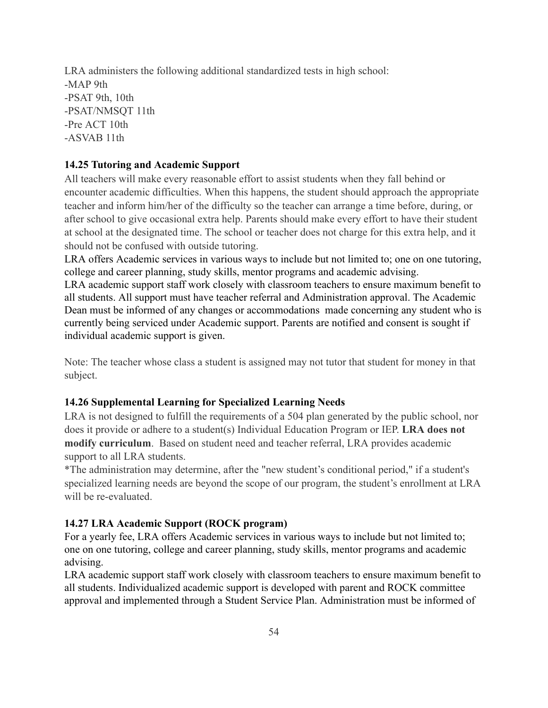LRA administers the following additional standardized tests in high school:  $-MAP$  9th -PSAT 9th, 10th -PSAT/NMSQT 11th -Pre ACT 10th -ASVAB 11th

### 14.25 Tutoring and Academic Support

All teachers will make every reasonable effort to assist students when they fall behind or encounter academic difficulties. When this happens, the student should approach the appropriate teacher and inform him/her of the difficulty so the teacher can arrange a time before, during, or after school to give occasional extra help. Parents should make every effort to have their student at school at the designated time. The school or teacher does not charge for this extra help, and it should not be confused with outside tutoring.

LRA offers Academic services in various ways to include but not limited to; one on one tutoring, college and career planning, study skills, mentor programs and academic advising.

LRA academic support staff work closely with classroom teachers to ensure maximum benefit to all students. All support must have teacher referral and Administration approval. The Academic Dean must be informed of any changes or accommodations made concerning any student who is currently being serviced under Academic support. Parents are notified and consent is sought if individual academic support is given.

Note: The teacher whose class a student is assigned may not tutor that student for money in that subject.

### 14.26 Supplemental Learning for Specialized Learning Needs

LRA is not designed to fulfill the requirements of a 504 plan generated by the public school, nor does it provide or adhere to a student(s) Individual Education Program or IEP. LRA does not modify curriculum. Based on student need and teacher referral, LRA provides academic support to all LRA students.

\*The administration may determine, after the "new student's conditional period," if a student's specialized learning needs are beyond the scope of our program, the student's enrollment at LRA will be re-evaluated.

#### 14.27 LRA Academic Support (ROCK program)

For a yearly fee, LRA offers Academic services in various ways to include but not limited to; one on one tutoring, college and career planning, study skills, mentor programs and academic advising.

LRA academic support staff work closely with classroom teachers to ensure maximum benefit to all students. Individualized academic support is developed with parent and ROCK committee approval and implemented through a Student Service Plan. Administration must be informed of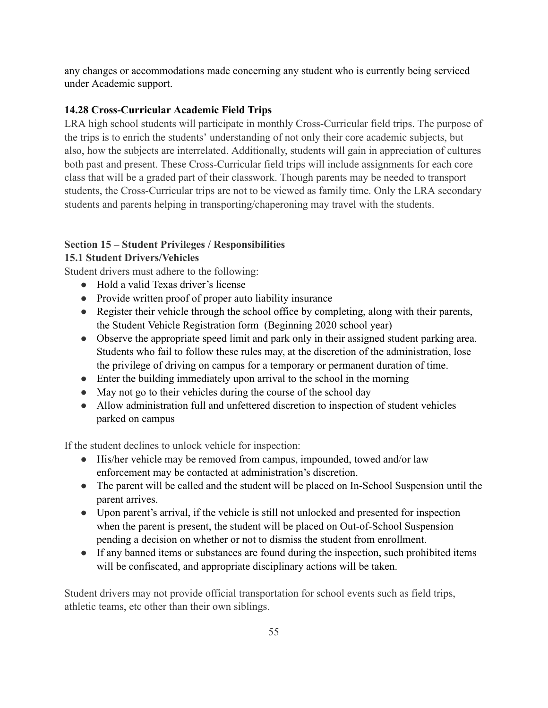any changes or accommodations made concerning any student who is currently being serviced under Academic support.

## 14.28 Cross-Curricular Academic Field Trips

LRA high school students will participate in monthly Cross-Curricular field trips. The purpose of the trips is to enrich the students' understanding of not only their core academic subjects, but also, how the subjects are interrelated. Additionally, students will gain in appreciation of cultures both past and present. These Cross-Curricular field trips will include assignments for each core class that will be a graded part of their classwork. Though parents may be needed to transport students, the Cross-Curricular trips are not to be viewed as family time. Only the LRA secondary students and parents helping in transporting/chaperoning may travel with the students.

### **Section 15 – Student Privileges / Responsibilities**

### **15.1 Student Drivers/Vehicles**

Student drivers must adhere to the following:

- Hold a valid Texas driver's license
- Provide written proof of proper auto liability insurance
- Register their vehicle through the school office by completing, along with their parents, the Student Vehicle Registration form (Beginning 2020 school year)
- Observe the appropriate speed limit and park only in their assigned student parking area. Students who fail to follow these rules may, at the discretion of the administration, lose the privilege of driving on campus for a temporary or permanent duration of time.
- Enter the building immediately upon arrival to the school in the morning
- May not go to their vehicles during the course of the school day
- Allow administration full and unfettered discretion to inspection of student vehicles parked on campus

If the student declines to unlock vehicle for inspection:

- His/her vehicle may be removed from campus, impounded, towed and/or law enforcement may be contacted at administration's discretion.
- The parent will be called and the student will be placed on In-School Suspension until the parent arrives.
- Upon parent's arrival, if the vehicle is still not unlocked and presented for inspection when the parent is present, the student will be placed on Out-of-School Suspension pending a decision on whether or not to dismiss the student from enrollment.
- If any banned items or substances are found during the inspection, such prohibited items will be confiscated, and appropriate disciplinary actions will be taken.

Student drivers may not provide official transportation for school events such as field trips, athletic teams, etc other than their own siblings.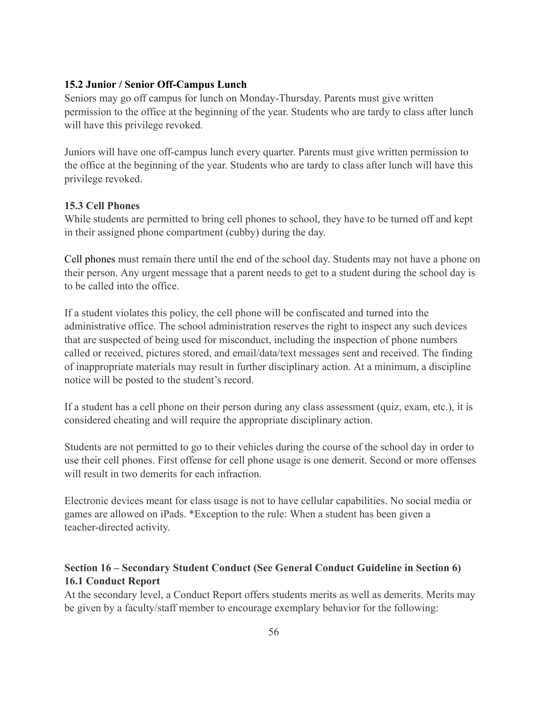#### 15.2 Junior / Senior Off-Campus Lunch

Seniors may go off campus for lunch on Monday-Thursday. Parents must give written permission to the office at the beginning of the year. Students who are tardy to class after lunch will have this privilege revoked.

Juniors will have one off-campus lunch every quarter. Parents must give written permission to the office at the beginning of the year. Students who are tardy to class after lunch will have this privilege revoked.

#### **15.3 Cell Phones**

While students are permitted to bring cell phones to school, they have to be turned off and kept in their assigned phone compartment (cubby) during the day.

Cell phones must remain there until the end of the school day. Students may not have a phone on their person. Any urgent message that a parent needs to get to a student during the school day is to be called into the office.

If a student violates this policy, the cell phone will be confiscated and turned into the administrative office. The school administration reserves the right to inspect any such devices that are suspected of being used for misconduct, including the inspection of phone numbers called or received, pictures stored, and email/data/text messages sent and received. The finding of inappropriate materials may result in further disciplinary action. At a minimum, a discipline notice will be posted to the student's record.

If a student has a cell phone on their person during any class assessment (quiz, exam, etc.), it is considered cheating and will require the appropriate disciplinary action.

Students are not permitted to go to their vehicles during the course of the school day in order to use their cell phones. First offense for cell phone usage is one demerit. Second or more offenses will result in two demerits for each infraction

Electronic devices meant for class usage is not to have cellular capabilities. No social media or games are allowed on iPads. \*Exception to the rule: When a student has been given a teacher-directed activity.

## Section 16 – Secondary Student Conduct (See General Conduct Guideline in Section 6) **16.1 Conduct Report**

At the secondary level, a Conduct Report offers students merits as well as demerits. Merits may be given by a faculty/staff member to encourage exemplary behavior for the following: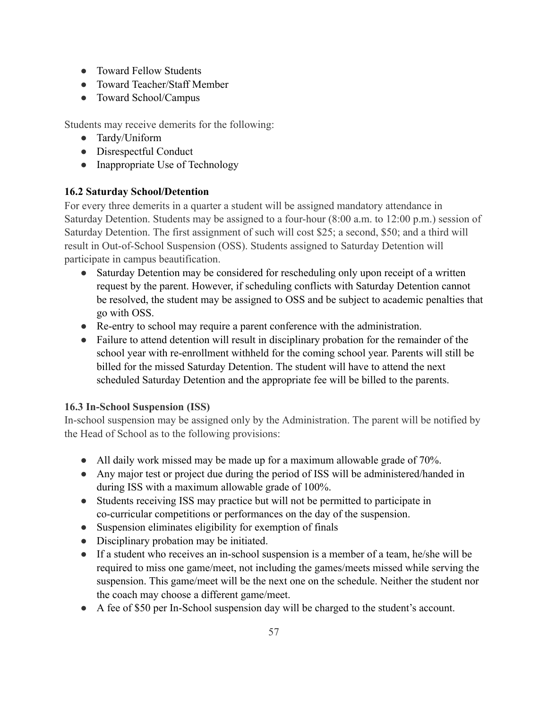- Toward Fellow Students
- Toward Teacher/Staff Member
- Toward School/Campus

Students may receive demerits for the following:

- Tardy/Uniform
- Disrespectful Conduct
- Inappropriate Use of Technology

## **16.2 Saturday School/Detention**

For every three demerits in a quarter a student will be assigned mandatory attendance in Saturday Detention. Students may be assigned to a four-hour (8:00 a.m. to 12:00 p.m.) session of Saturday Detention. The first assignment of such will cost \$25; a second, \$50; and a third will result in Out-of-School Suspension (OSS). Students assigned to Saturday Detention will participate in campus beautification.

- Saturday Detention may be considered for rescheduling only upon receipt of a written request by the parent. However, if scheduling conflicts with Saturday Detention cannot be resolved, the student may be assigned to OSS and be subject to academic penalties that go with OSS.
- Re-entry to school may require a parent conference with the administration.
- Failure to attend detention will result in disciplinary probation for the remainder of the school year with re-enrollment withheld for the coming school year. Parents will still be billed for the missed Saturday Detention. The student will have to attend the next scheduled Saturday Detention and the appropriate fee will be billed to the parents.

## 16.3 In-School Suspension (ISS)

In-school suspension may be assigned only by the Administration. The parent will be notified by the Head of School as to the following provisions:

- All daily work missed may be made up for a maximum allowable grade of 70%.
- Any major test or project due during the period of ISS will be administered/handed in during ISS with a maximum allowable grade of 100%.
- Students receiving ISS may practice but will not be permitted to participate in co-curricular competitions or performances on the day of the suspension.
- Suspension eliminates eligibility for exemption of finals
- Disciplinary probation may be initiated.
- If a student who receives an in-school suspension is a member of a team, he/she will be required to miss one game/meet, not including the games/meets missed while serving the suspension. This game/meet will be the next one on the schedule. Neither the student nor the coach may choose a different game/meet.
- A fee of \$50 per In-School suspension day will be charged to the student's account.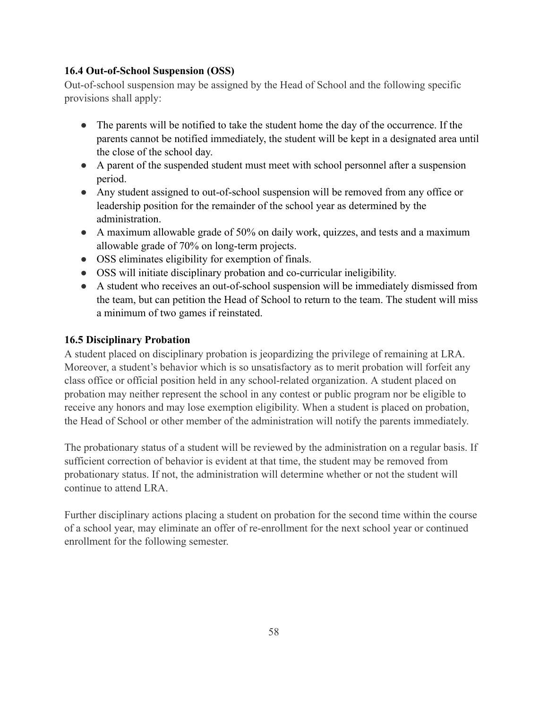## 16.4 Out-of-School Suspension (OSS)

Out-of-school suspension may be assigned by the Head of School and the following specific provisions shall apply:

- The parents will be notified to take the student home the day of the occurrence. If the parents cannot be notified immediately, the student will be kept in a designated area until the close of the school day.
- A parent of the suspended student must meet with school personnel after a suspension period.
- Any student assigned to out-of-school suspension will be removed from any office or leadership position for the remainder of the school year as determined by the administration.
- A maximum allowable grade of 50% on daily work, quizzes, and tests and a maximum allowable grade of 70% on long-term projects.
- OSS eliminates eligibility for exemption of finals.
- OSS will initiate disciplinary probation and co-curricular ineligibility.
- A student who receives an out-of-school suspension will be immediately dismissed from the team, but can petition the Head of School to return to the team. The student will miss a minimum of two games if reinstated.

### **16.5 Disciplinary Probation**

A student placed on disciplinary probation is jeopardizing the privilege of remaining at LRA. Moreover, a student's behavior which is so unsatisfactory as to merit probation will forfeit any class office or official position held in any school-related organization. A student placed on probation may neither represent the school in any contest or public program nor be eligible to receive any honors and may lose exemption eligibility. When a student is placed on probation, the Head of School or other member of the administration will notify the parents immediately.

The probationary status of a student will be reviewed by the administration on a regular basis. If sufficient correction of behavior is evident at that time, the student may be removed from probationary status. If not, the administration will determine whether or not the student will continue to attend LRA.

Further disciplinary actions placing a student on probation for the second time within the course of a school year, may eliminate an offer of re-enrollment for the next school year or continued enrollment for the following semester.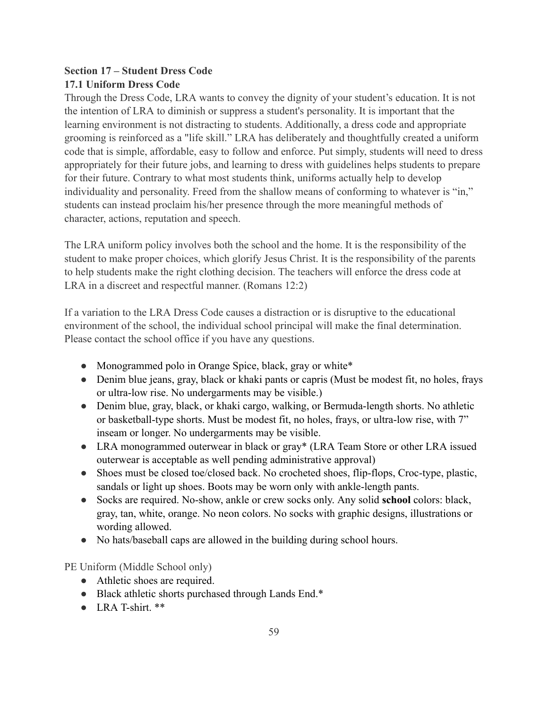# **Section 17 – Student Dress Code 17.1 Uniform Dress Code**

Through the Dress Code, LRA wants to convey the dignity of your student's education. It is not the intention of LRA to diminish or suppress a student's personality. It is important that the learning environment is not distracting to students. Additionally, a dress code and appropriate grooming is reinforced as a "life skill," LRA has deliberately and thoughtfully created a uniform code that is simple, affordable, easy to follow and enforce. Put simply, students will need to dress appropriately for their future jobs, and learning to dress with guidelines helps students to prepare for their future. Contrary to what most students think, uniforms actually help to develop individuality and personality. Freed from the shallow means of conforming to whatever is "in," students can instead proclaim his/her presence through the more meaningful methods of character, actions, reputation and speech.

The LRA uniform policy involves both the school and the home. It is the responsibility of the student to make proper choices, which glorify Jesus Christ. It is the responsibility of the parents to help students make the right clothing decision. The teachers will enforce the dress code at LRA in a discreet and respectful manner. (Romans 12:2)

If a variation to the LRA Dress Code causes a distraction or is disruptive to the educational environment of the school, the individual school principal will make the final determination. Please contact the school office if you have any questions.

- Monogrammed polo in Orange Spice, black, gray or white\*
- Denim blue jeans, gray, black or khaki pants or capris (Must be modest fit, no holes, frays or ultra-low rise. No undergarments may be visible.)
- Denim blue, gray, black, or khaki cargo, walking, or Bermuda-length shorts. No athletic or basketball-type shorts. Must be modest fit, no holes, frays, or ultra-low rise, with 7" inseam or longer. No undergarments may be visible.
- LRA monogrammed outerwear in black or gray\* (LRA Team Store or other LRA issued outerwear is acceptable as well pending administrative approval)
- Shoes must be closed toe/closed back. No crocheted shoes, flip-flops, Croc-type, plastic, sandals or light up shoes. Boots may be worn only with ankle-length pants.
- Socks are required. No-show, ankle or crew socks only. Any solid school colors: black, gray, tan, white, orange. No neon colors. No socks with graphic designs, illustrations or wording allowed.
- No hats/baseball caps are allowed in the building during school hours.

PE Uniform (Middle School only)

- Athletic shoes are required.
- Black athletic shorts purchased through Lands End.\*
- $\bullet$  LRA T-shirt  $**$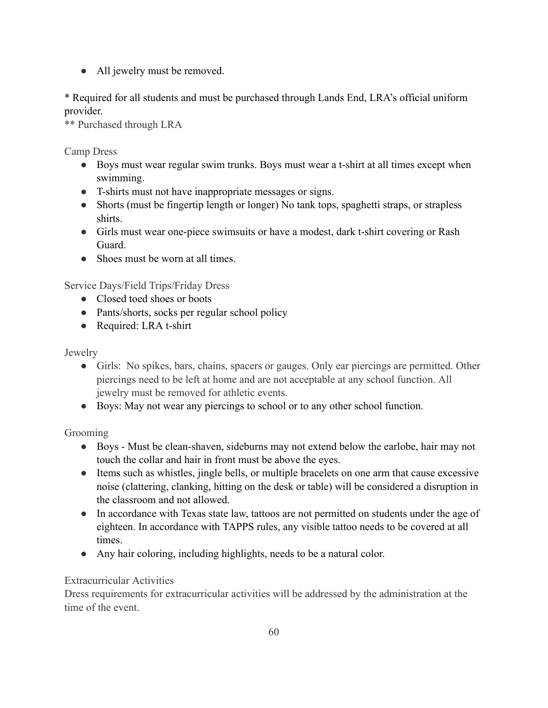• All jewelry must be removed.

\* Required for all students and must be purchased through Lands End, LRA's official uniform provider.

\*\* Purchased through LRA

Camp Dress

- Boys must wear regular swim trunks. Boys must wear a t-shirt at all times except when swimming.
- T-shirts must not have inappropriate messages or signs.
- Shorts (must be fingertip length or longer) No tank tops, spaghetti straps, or strapless shirts.
- Girls must wear one-piece swimsuits or have a modest, dark t-shirt covering or Rash Guard
- Shoes must be worn at all times.

Service Days/Field Trips/Friday Dress

- Closed toed shoes or boots
- Pants/shorts, socks per regular school policy
- Required: LRA t-shirt

Jewelry

- Girls: No spikes, bars, chains, spacers or gauges. Only ear piercings are permitted. Other piercings need to be left at home and are not acceptable at any school function. All jewelry must be removed for athletic events.
- Boys: May not wear any piercings to school or to any other school function.

Grooming

- Boys Must be clean-shaven, sideburns may not extend below the earlobe, hair may not touch the collar and hair in front must be above the eyes.
- Items such as whistles, jingle bells, or multiple bracelets on one arm that cause excessive noise (clattering, clanking, hitting on the desk or table) will be considered a disruption in the classroom and not allowed.
- In accordance with Texas state law, tattoos are not permitted on students under the age of eighteen. In accordance with TAPPS rules, any visible tattoo needs to be covered at all times.
- Any hair coloring, including highlights, needs to be a natural color.

# **Extracurricular Activities**

Dress requirements for extracurricular activities will be addressed by the administration at the time of the event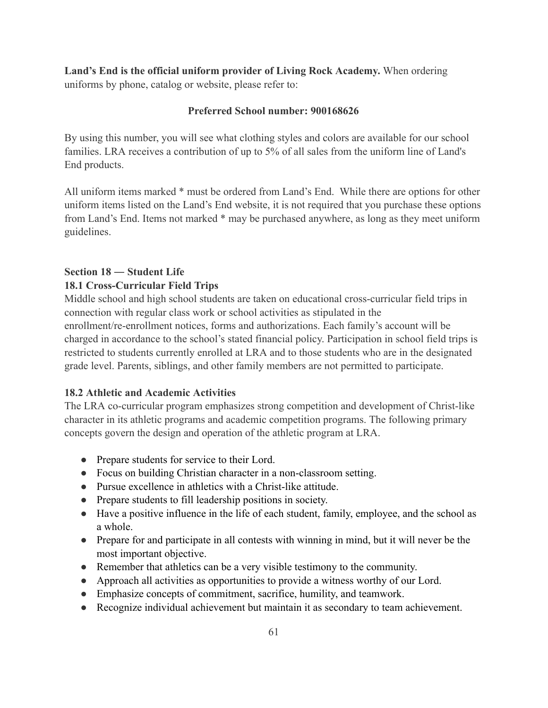Land's End is the official uniform provider of Living Rock Academy. When ordering uniforms by phone, catalog or website, please refer to:

#### Preferred School number: 900168626

By using this number, you will see what clothing styles and colors are available for our school families. LRA receives a contribution of up to 5% of all sales from the uniform line of Land's End products.

All uniform items marked \* must be ordered from Land's End. While there are options for other uniform items listed on the Land's End website, it is not required that you purchase these options from Land's End. Items not marked \* may be purchased anywhere, as long as they meet uniform guidelines.

### Section 18 - Student Life **18.1 Cross-Curricular Field Trips**

Middle school and high school students are taken on educational cross-curricular field trips in connection with regular class work or school activities as stipulated in the enrollment/re-enrollment notices, forms and authorizations. Each family's account will be charged in accordance to the school's stated financial policy. Participation in school field trips is restricted to students currently enrolled at LRA and to those students who are in the designated grade level. Parents, siblings, and other family members are not permitted to participate.

### 18.2 Athletic and Academic Activities

The LRA co-curricular program emphasizes strong competition and development of Christ-like character in its athletic programs and academic competition programs. The following primary concepts govern the design and operation of the athletic program at LRA.

- Prepare students for service to their Lord.
- Focus on building Christian character in a non-classroom setting.
- Pursue excellence in athletics with a Christ-like attitude.
- Prepare students to fill leadership positions in society.
- Have a positive influence in the life of each student, family, employee, and the school as a whole
- Prepare for and participate in all contests with winning in mind, but it will never be the most important objective.
- Remember that athletics can be a very visible testimony to the community.
- Approach all activities as opportunities to provide a witness worthy of our Lord.
- Emphasize concepts of commitment, sacrifice, humility, and teamwork.
- Recognize individual achievement but maintain it as secondary to team achievement.